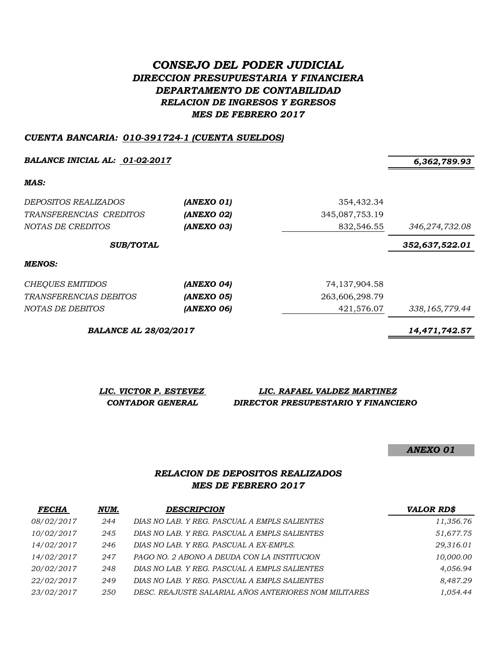# *CONSEJO DEL PODER JUDICIAL DIRECCION PRESUPUESTARIA Y FINANCIERA DEPARTAMENTO DE CONTABILIDAD RELACION DE INGRESOS Y EGRESOS MES DE FEBRERO 2017*

### *CUENTA BANCARIA: 010-391724-1 (CUENTA SUELDOS)*

*BALANCE INICIAL AL: 01-02-2017 6,362,789.93*

*MAS:*

| <i>DEPOSITOS REALIZADOS</i><br>TRANSFERENCIAS CREDITOS<br>NOTAS DE CREDITOS | (ANEXO 01)<br>(ANEXO 02)<br>(ANEXO 03) | 354,432.34<br>345,087,753.19<br>832,546.55 | 346,274,732.08   |
|-----------------------------------------------------------------------------|----------------------------------------|--------------------------------------------|------------------|
| <b>SUB/TOTAL</b>                                                            |                                        |                                            | 352,637,522.01   |
| <b>MENOS:</b>                                                               |                                        |                                            |                  |
| CHEQUES EMITIDOS                                                            | (ANEXO 04)                             | 74, 137, 904. 58                           |                  |
| <i>TRANSFERENCIAS DEBITOS</i>                                               | (ANEXO 05)                             | 263,606,298.79                             |                  |
| NOTAS DE DEBITOS                                                            | (ANEXO 06)                             | 421,576.07                                 | 338, 165, 779.44 |

*BALANCE AL 28/02/2017 14,471,742.57*

| LIC. VICTOR P. ESTEVEZ | LIC. RAFAEL VALDEZ MARTINEZ         |
|------------------------|-------------------------------------|
| CONTADOR GENERAL       | DIRECTOR PRESUPESTARIO Y FINANCIERO |

*ANEXO 01*

# *RELACION DE DEPOSITOS REALIZADOS MES DE FEBRERO 2017*

| <b>FECHA</b>      | NUM. | <b>DESCRIPCION</b>                                    | <b>VALOR RD\$</b> |
|-------------------|------|-------------------------------------------------------|-------------------|
| 08/02/2017        | 244  | DIAS NO LAB. Y REG. PASCUAL A EMPLS SALIENTES         | 11,356.76         |
| <i>10/02/2017</i> | 245  | DIAS NO LAB. Y REG. PASCUAL A EMPLS SALIENTES         | 51,677.75         |
| 14/02/2017        | 246  | DIAS NO LAB. Y REG. PASCUAL A EX-EMPLS.               | 29,316.01         |
| <i>14/02/2017</i> | 247  | PAGO NO. 2 ABONO A DEUDA CON LA INSTITUCION           | 10,000.00         |
| 20/02/2017        | 248  | DIAS NO LAB. Y REG. PASCUAL A EMPLS SALIENTES         | 4.056.94          |
| 22/02/2017        | 249  | DIAS NO LAB. Y REG. PASCUAL A EMPLS SALIENTES         | 8,487.29          |
| 23/02/2017        | 250  | DESC. REAJUSTE SALARIAL AÑOS ANTERIORES NOM MILITARES | 1.054.44          |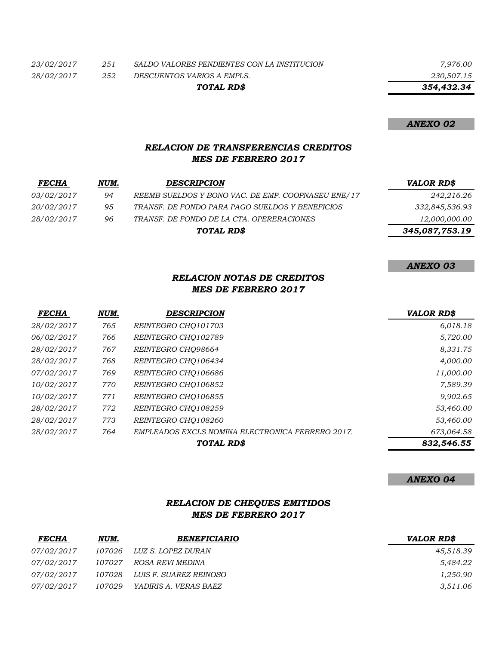*23/02/2017 251 SALDO VALORES PENDIENTES CON LA INSTITUCION 7,976.00*

*28/02/2017 252 DESCUENTOS VARIOS A EMPLS. 230,507.15*

*TOTAL RD\$*

 *354,432.34*

### *ANEXO 02*

# *RELACION DE TRANSFERENCIAS CREDITOS MES DE FEBRERO 2017*

| <b>FECHA</b>      | NUM. | <b>DESCRIPCION</b>                                 | <b>VALOR RD\$</b> |
|-------------------|------|----------------------------------------------------|-------------------|
| <i>03/02/2017</i> | 94   | REEMB SUELDOS Y BONO VAC. DE EMP. COOPNASEU ENE/17 | 242,216.26        |
| <i>20/02/2017</i> | 95   | TRANSF. DE FONDO PARA PAGO SUELDOS Y BENEFICIOS    | 332,845,536.93    |
| <i>28/02/2017</i> | 96   | TRANSF. DE FONDO DE LA CTA. OPERERACIONES          | 12,000,000.00     |
|                   |      | TOTAL RD\$                                         | 345,087,753.19    |
|                   |      |                                                    |                   |

#### *ANEXO 03*

## *RELACION NOTAS DE CREDITOS MES DE FEBRERO 2017*

| <b>FECHA</b> | NUM. | <b>DESCRIPCION</b>                               | <b>VALOR RD\$</b> |
|--------------|------|--------------------------------------------------|-------------------|
| 28/02/2017   | 765  | REINTEGRO CHO101703                              | 6,018.18          |
| 06/02/2017   | 766  | REINTEGRO CHO102789                              | 5,720.00          |
| 28/02/2017   | 767  | REINTEGRO CHO98664                               | 8,331.75          |
| 28/02/2017   | 768  | REINTEGRO CHO106434                              | 4,000.00          |
| 07/02/2017   | 769  | REINTEGRO CHQ106686                              | 11,000.00         |
| 10/02/2017   | 770  | REINTEGRO CHO106852                              | 7,589.39          |
| 10/02/2017   | 771  | REINTEGRO CHO106855                              | 9,902.65          |
| 28/02/2017   | 772  | REINTEGRO CHO108259                              | 53,460.00         |
| 28/02/2017   | 773  | REINTEGRO CHO108260                              | 53,460.00         |
| 28/02/2017   | 764  | EMPLEADOS EXCLS NOMINA ELECTRONICA FEBRERO 2017. | 673,064.58        |
|              |      | TOTAL RD\$                                       | 832,546.55        |

#### *ANEXO 04*

## *RELACION DE CHEQUES EMITIDOS MES DE FEBRERO 2017*

| <b>FECHA</b> | NUM.   | <b>BENEFICIARIO</b>    | <b>VALOR RD\$</b> |
|--------------|--------|------------------------|-------------------|
| 07/02/2017   | 107026 | LUZ S. LOPEZ DURAN     | 45,518.39         |
| 07/02/2017   | 107027 | ROSA REVI MEDINA       | 5,484.22          |
| 07/02/2017   | 107028 | LUIS F. SUAREZ REINOSO | 1,250.90          |
| 07/02/2017   | 107029 | YADIRIS A. VERAS BAEZ  | 3,511.06          |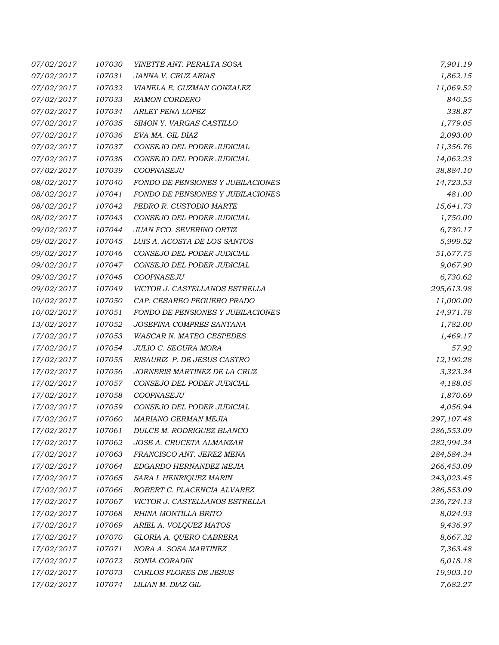| 07/02/2017 | 107030 | YINETTE ANT. PERALTA SOSA                | 7,901.19   |
|------------|--------|------------------------------------------|------------|
| 07/02/2017 | 107031 | JANNA V. CRUZ ARIAS                      | 1,862.15   |
| 07/02/2017 | 107032 | VIANELA E. GUZMAN GONZALEZ               | 11,069.52  |
| 07/02/2017 | 107033 | <b>RAMON CORDERO</b>                     | 840.55     |
| 07/02/2017 | 107034 | ARLET PENA LOPEZ                         | 338.87     |
| 07/02/2017 | 107035 | SIMON Y. VARGAS CASTILLO                 | 1,779.05   |
| 07/02/2017 | 107036 | EVA MA. GIL DIAZ                         | 2,093.00   |
| 07/02/2017 | 107037 | CONSEJO DEL PODER JUDICIAL               | 11,356.76  |
| 07/02/2017 | 107038 | CONSEJO DEL PODER JUDICIAL               | 14,062.23  |
| 07/02/2017 | 107039 | COOPNASEJU                               | 38,884.10  |
| 08/02/2017 | 107040 | <b>FONDO DE PENSIONES Y JUBILACIONES</b> | 14,723.53  |
| 08/02/2017 | 107041 | <b>FONDO DE PENSIONES Y JUBILACIONES</b> | 481.00     |
| 08/02/2017 | 107042 | PEDRO R. CUSTODIO MARTE                  | 15,641.73  |
| 08/02/2017 | 107043 | CONSEJO DEL PODER JUDICIAL               | 1,750.00   |
| 09/02/2017 | 107044 | <b>JUAN FCO. SEVERINO ORTIZ</b>          | 6,730.17   |
| 09/02/2017 | 107045 | LUIS A. ACOSTA DE LOS SANTOS             | 5,999.52   |
| 09/02/2017 | 107046 | CONSEJO DEL PODER JUDICIAL               | 51,677.75  |
| 09/02/2017 | 107047 | CONSEJO DEL PODER JUDICIAL               | 9,067.90   |
| 09/02/2017 | 107048 | COOPNASEJU                               | 6,730.62   |
| 09/02/2017 | 107049 | VICTOR J. CASTELLANOS ESTRELLA           | 295,613.98 |
| 10/02/2017 | 107050 | CAP. CESAREO PEGUERO PRADO               | 11,000.00  |
| 10/02/2017 | 107051 | FONDO DE PENSIONES Y JUBILACIONES        | 14,971.78  |
| 13/02/2017 | 107052 | JOSEFINA COMPRES SANTANA                 | 1,782.00   |
| 17/02/2017 | 107053 | <b>WASCAR N. MATEO CESPEDES</b>          | 1,469.17   |
| 17/02/2017 | 107054 | JULIO C. SEGURA MORA                     | 57.92      |
| 17/02/2017 | 107055 | RISAURIZ P. DE JESUS CASTRO              | 12,190.28  |
| 17/02/2017 | 107056 | JORNERIS MARTINEZ DE LA CRUZ             | 3,323.34   |
| 17/02/2017 | 107057 | CONSEJO DEL PODER JUDICIAL               | 4,188.05   |
| 17/02/2017 | 107058 | COOPNASEJU                               | 1,870.69   |
| 17/02/2017 | 107059 | CONSEJO DEL PODER JUDICIAL               | 4,056.94   |
| 17/02/2017 | 107060 | MARIANO GERMAN MEJIA                     | 297,107.48 |
| 17/02/2017 | 107061 | DULCE M. RODRIGUEZ BLANCO                | 286,553.09 |
| 17/02/2017 | 107062 | JOSE A. CRUCETA ALMANZAR                 | 282,994.34 |
| 17/02/2017 | 107063 | FRANCISCO ANT. JEREZ MENA                | 284,584.34 |
| 17/02/2017 | 107064 | EDGARDO HERNANDEZ MEJIA                  | 266,453.09 |
| 17/02/2017 | 107065 | SARA I. HENRIQUEZ MARIN                  | 243,023.45 |
| 17/02/2017 | 107066 | ROBERT C. PLACENCIA ALVAREZ              | 286,553.09 |
| 17/02/2017 | 107067 | VICTOR J. CASTELLANOS ESTRELLA           | 236,724.13 |
| 17/02/2017 | 107068 | RHINA MONTILLA BRITO                     | 8,024.93   |
| 17/02/2017 | 107069 | ARIEL A. VOLQUEZ MATOS                   | 9,436.97   |
| 17/02/2017 | 107070 | GLORIA A. QUERO CABRERA                  | 8,667.32   |
| 17/02/2017 | 107071 | NORA A. SOSA MARTINEZ                    | 7,363.48   |
| 17/02/2017 | 107072 | SONIA CORADIN                            | 6,018.18   |
| 17/02/2017 | 107073 | CARLOS FLORES DE JESUS                   | 19,903.10  |
| 17/02/2017 | 107074 | LILIAN M. DIAZ GIL                       | 7,682.27   |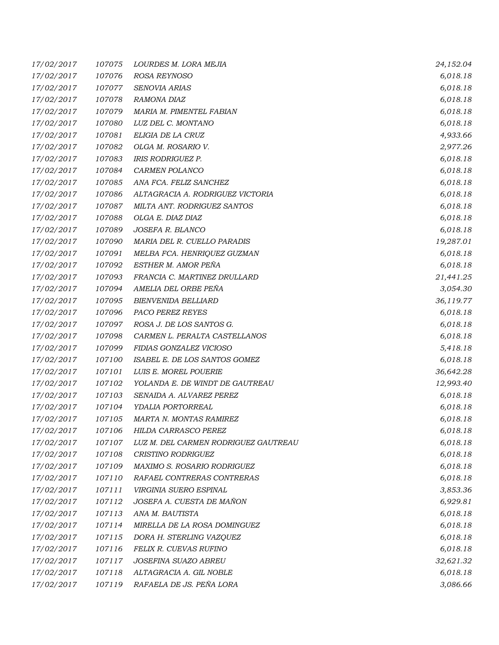| 17/02/2017 | 107075 | LOURDES M. LORA MEJIA                | 24,152.04 |
|------------|--------|--------------------------------------|-----------|
| 17/02/2017 | 107076 | ROSA REYNOSO                         | 6,018.18  |
| 17/02/2017 | 107077 | SENOVIA ARIAS                        | 6,018.18  |
| 17/02/2017 | 107078 | RAMONA DIAZ                          | 6,018.18  |
| 17/02/2017 | 107079 | MARIA M. PIMENTEL FABIAN             | 6,018.18  |
| 17/02/2017 | 107080 | LUZ DEL C. MONTANO                   | 6,018.18  |
| 17/02/2017 | 107081 | ELIGIA DE LA CRUZ                    | 4,933.66  |
| 17/02/2017 | 107082 | OLGA M. ROSARIO V.                   | 2,977.26  |
| 17/02/2017 | 107083 | <b>IRIS RODRIGUEZ P.</b>             | 6,018.18  |
| 17/02/2017 | 107084 | CARMEN POLANCO                       | 6,018.18  |
| 17/02/2017 | 107085 | ANA FCA. FELIZ SANCHEZ               | 6,018.18  |
| 17/02/2017 | 107086 | ALTAGRACIA A. RODRIGUEZ VICTORIA     | 6,018.18  |
| 17/02/2017 | 107087 | MILTA ANT. RODRIGUEZ SANTOS          | 6,018.18  |
| 17/02/2017 | 107088 | OLGA E. DIAZ DIAZ                    | 6,018.18  |
| 17/02/2017 | 107089 | JOSEFA R. BLANCO                     | 6,018.18  |
| 17/02/2017 | 107090 | MARIA DEL R. CUELLO PARADIS          | 19,287.01 |
| 17/02/2017 | 107091 | MELBA FCA. HENRIQUEZ GUZMAN          | 6,018.18  |
| 17/02/2017 | 107092 | ESTHER M. AMOR PEÑA                  | 6,018.18  |
| 17/02/2017 | 107093 | FRANCIA C. MARTINEZ DRULLARD         | 21,441.25 |
| 17/02/2017 | 107094 | AMELIA DEL ORBE PEÑA                 | 3,054.30  |
| 17/02/2017 | 107095 | <b>BIENVENIDA BELLIARD</b>           | 36,119.77 |
| 17/02/2017 | 107096 | PACO PEREZ REYES                     | 6,018.18  |
| 17/02/2017 | 107097 | ROSA J. DE LOS SANTOS G.             | 6,018.18  |
| 17/02/2017 | 107098 | CARMEN L. PERALTA CASTELLANOS        | 6,018.18  |
| 17/02/2017 | 107099 | FIDIAS GONZALEZ VICIOSO              | 5,418.18  |
| 17/02/2017 | 107100 | ISABEL E. DE LOS SANTOS GOMEZ        | 6,018.18  |
| 17/02/2017 | 107101 | LUIS E. MOREL POUERIE                | 36,642.28 |
| 17/02/2017 | 107102 | YOLANDA E. DE WINDT DE GAUTREAU      | 12,993.40 |
| 17/02/2017 | 107103 | SENAIDA A. ALVAREZ PEREZ             | 6,018.18  |
| 17/02/2017 | 107104 | YDALIA PORTORREAL                    | 6,018.18  |
| 17/02/2017 | 107105 | MARTA N. MONTAS RAMIREZ              | 6,018.18  |
| 17/02/2017 | 107106 | HILDA CARRASCO PEREZ                 | 6,018.18  |
| 17/02/2017 | 107107 | LUZ M. DEL CARMEN RODRIGUEZ GAUTREAU | 6,018.18  |
| 17/02/2017 | 107108 | CRISTINO RODRIGUEZ                   | 6,018.18  |
| 17/02/2017 | 107109 | MAXIMO S. ROSARIO RODRIGUEZ          | 6,018.18  |
| 17/02/2017 | 107110 | RAFAEL CONTRERAS CONTRERAS           | 6,018.18  |
| 17/02/2017 | 107111 | VIRGINIA SUERO ESPINAL               | 3,853.36  |
| 17/02/2017 | 107112 | JOSEFA A. CUESTA DE MAÑON            | 6,929.81  |
| 17/02/2017 | 107113 | ANA M. BAUTISTA                      | 6,018.18  |
| 17/02/2017 | 107114 | MIRELLA DE LA ROSA DOMINGUEZ         | 6,018.18  |
| 17/02/2017 | 107115 | DORA H. STERLING VAZQUEZ             | 6,018.18  |
| 17/02/2017 | 107116 | FELIX R. CUEVAS RUFINO               | 6,018.18  |
| 17/02/2017 | 107117 | JOSEFINA SUAZO ABREU                 | 32,621.32 |
| 17/02/2017 | 107118 | ALTAGRACIA A. GIL NOBLE              | 6,018.18  |
| 17/02/2017 | 107119 | RAFAELA DE JS. PEÑA LORA             | 3,086.66  |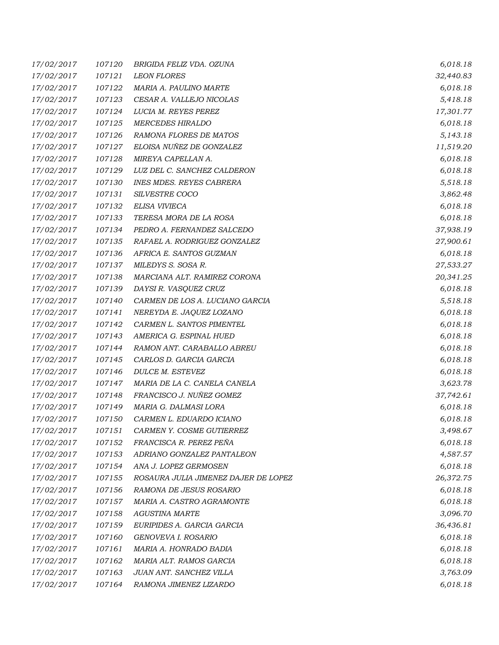| 17/02/2017 | 107120 | BRIGIDA FELIZ VDA. OZUNA             | 6,018.18  |
|------------|--------|--------------------------------------|-----------|
| 17/02/2017 | 107121 | <b>LEON FLORES</b>                   | 32,440.83 |
| 17/02/2017 | 107122 | MARIA A. PAULINO MARTE               | 6,018.18  |
| 17/02/2017 | 107123 | CESAR A. VALLEJO NICOLAS             | 5,418.18  |
| 17/02/2017 | 107124 | LUCIA M. REYES PEREZ                 | 17,301.77 |
| 17/02/2017 | 107125 | <b>MERCEDES HIRALDO</b>              | 6,018.18  |
| 17/02/2017 | 107126 | RAMONA FLORES DE MATOS               | 5,143.18  |
| 17/02/2017 | 107127 | ELOISA NUÑEZ DE GONZALEZ             | 11,519.20 |
| 17/02/2017 | 107128 | MIREYA CAPELLAN A.                   | 6,018.18  |
| 17/02/2017 | 107129 | LUZ DEL C. SANCHEZ CALDERON          | 6,018.18  |
| 17/02/2017 | 107130 | <b>INES MDES. REYES CABRERA</b>      | 5,518.18  |
| 17/02/2017 | 107131 | SILVESTRE COCO                       | 3,862.48  |
| 17/02/2017 | 107132 | ELISA VIVIECA                        | 6,018.18  |
| 17/02/2017 | 107133 | TERESA MORA DE LA ROSA               | 6,018.18  |
| 17/02/2017 | 107134 | PEDRO A. FERNANDEZ SALCEDO           | 37,938.19 |
| 17/02/2017 | 107135 | RAFAEL A. RODRIGUEZ GONZALEZ         | 27,900.61 |
| 17/02/2017 | 107136 | AFRICA E. SANTOS GUZMAN              | 6,018.18  |
| 17/02/2017 | 107137 | MILEDYS S. SOSA R.                   | 27,533.27 |
| 17/02/2017 | 107138 | MARCIANA ALT. RAMIREZ CORONA         | 20,341.25 |
| 17/02/2017 | 107139 | DAYSI R. VASQUEZ CRUZ                | 6,018.18  |
| 17/02/2017 | 107140 | CARMEN DE LOS A. LUCIANO GARCIA      | 5,518.18  |
| 17/02/2017 | 107141 | NEREYDA E. JAQUEZ LOZANO             | 6,018.18  |
| 17/02/2017 | 107142 | CARMEN L. SANTOS PIMENTEL            | 6,018.18  |
| 17/02/2017 | 107143 | AMERICA G. ESPINAL HUED              | 6,018.18  |
| 17/02/2017 | 107144 | RAMON ANT. CARABALLO ABREU           | 6,018.18  |
| 17/02/2017 | 107145 | CARLOS D. GARCIA GARCIA              | 6,018.18  |
| 17/02/2017 | 107146 | DULCE M. ESTEVEZ                     | 6,018.18  |
| 17/02/2017 | 107147 | MARIA DE LA C. CANELA CANELA         | 3,623.78  |
| 17/02/2017 | 107148 | FRANCISCO J. NUÑEZ GOMEZ             | 37,742.61 |
| 17/02/2017 | 107149 | MARIA G. DALMASI LORA                | 6,018.18  |
| 17/02/2017 | 107150 | CARMEN L. EDUARDO ICIANO             | 6,018.18  |
| 17/02/2017 | 107151 | CARMEN Y. COSME GUTIERREZ            | 3,498.67  |
| 17/02/2017 | 107152 | FRANCISCA R. PEREZ PEÑA              | 6,018.18  |
| 17/02/2017 | 107153 | ADRIANO GONZALEZ PANTALEON           | 4,587.57  |
| 17/02/2017 | 107154 | ANA J. LOPEZ GERMOSEN                | 6,018.18  |
| 17/02/2017 | 107155 | ROSAURA JULIA JIMENEZ DAJER DE LOPEZ | 26,372.75 |
| 17/02/2017 | 107156 | RAMONA DE JESUS ROSARIO              | 6,018.18  |
| 17/02/2017 | 107157 | MARIA A. CASTRO AGRAMONTE            | 6,018.18  |
| 17/02/2017 | 107158 | <b>AGUSTINA MARTE</b>                | 3,096.70  |
| 17/02/2017 | 107159 | EURIPIDES A. GARCIA GARCIA           | 36,436.81 |
| 17/02/2017 | 107160 | GENOVEVA I. ROSARIO                  | 6,018.18  |
| 17/02/2017 | 107161 | MARIA A. HONRADO BADIA               | 6,018.18  |
| 17/02/2017 | 107162 | MARIA ALT. RAMOS GARCIA              | 6,018.18  |
| 17/02/2017 | 107163 | JUAN ANT. SANCHEZ VILLA              | 3,763.09  |
| 17/02/2017 | 107164 | RAMONA JIMENEZ LIZARDO               | 6,018.18  |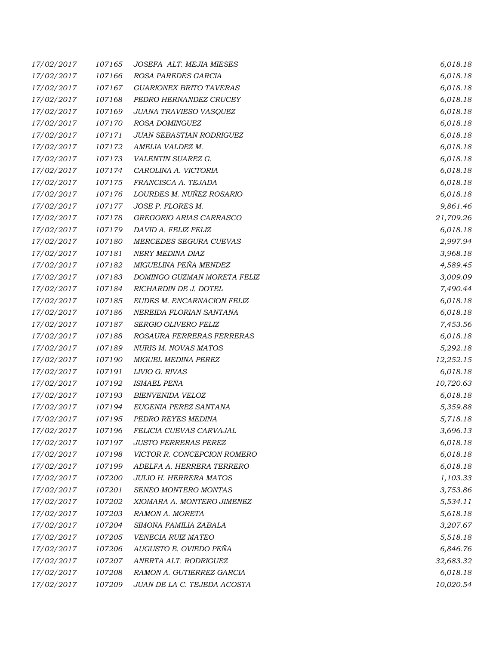| 17/02/2017 | 107165 | JOSEFA ALT. MEJIA MIESES       | 6,018.18  |
|------------|--------|--------------------------------|-----------|
| 17/02/2017 | 107166 | ROSA PAREDES GARCIA            | 6,018.18  |
| 17/02/2017 | 107167 | <b>GUARIONEX BRITO TAVERAS</b> | 6,018.18  |
| 17/02/2017 | 107168 | PEDRO HERNANDEZ CRUCEY         | 6,018.18  |
| 17/02/2017 | 107169 | JUANA TRAVIESO VASQUEZ         | 6,018.18  |
| 17/02/2017 | 107170 | ROSA DOMINGUEZ                 | 6,018.18  |
| 17/02/2017 | 107171 | JUAN SEBASTIAN RODRIGUEZ       | 6,018.18  |
| 17/02/2017 | 107172 | AMELIA VALDEZ M.               | 6,018.18  |
| 17/02/2017 | 107173 | VALENTIN SUAREZ G.             | 6,018.18  |
| 17/02/2017 | 107174 | CAROLINA A. VICTORIA           | 6,018.18  |
| 17/02/2017 | 107175 | FRANCISCA A. TEJADA            | 6,018.18  |
| 17/02/2017 | 107176 | LOURDES M. NUÑEZ ROSARIO       | 6,018.18  |
| 17/02/2017 | 107177 | JOSE P. FLORES M.              | 9,861.46  |
| 17/02/2017 | 107178 | GREGORIO ARIAS CARRASCO        | 21,709.26 |
| 17/02/2017 | 107179 | DAVID A. FELIZ FELIZ           | 6,018.18  |
| 17/02/2017 | 107180 | MERCEDES SEGURA CUEVAS         | 2,997.94  |
| 17/02/2017 | 107181 | NERY MEDINA DIAZ               | 3,968.18  |
| 17/02/2017 | 107182 | MIGUELINA PEÑA MENDEZ          | 4,589.45  |
| 17/02/2017 | 107183 | DOMINGO GUZMAN MORETA FELIZ    | 3,009.09  |
| 17/02/2017 | 107184 | RICHARDIN DE J. DOTEL          | 7,490.44  |
| 17/02/2017 | 107185 | EUDES M. ENCARNACION FELIZ     | 6,018.18  |
| 17/02/2017 | 107186 | NEREIDA FLORIAN SANTANA        | 6,018.18  |
| 17/02/2017 | 107187 | <b>SERGIO OLIVERO FELIZ</b>    | 7,453.56  |
| 17/02/2017 | 107188 | ROSAURA FERRERAS FERRERAS      | 6,018.18  |
| 17/02/2017 | 107189 | NURIS M. NOVAS MATOS           | 5,292.18  |
| 17/02/2017 | 107190 | MIGUEL MEDINA PEREZ            | 12,252.15 |
| 17/02/2017 | 107191 | LIVIO G. RIVAS                 | 6,018.18  |
| 17/02/2017 | 107192 | <b>ISMAEL PEÑA</b>             | 10,720.63 |
| 17/02/2017 | 107193 | BIENVENIDA VELOZ               | 6,018.18  |
| 17/02/2017 | 107194 | EUGENIA PEREZ SANTANA          | 5,359.88  |
| 17/02/2017 | 107195 | PEDRO REYES MEDINA             | 5,718.18  |
| 17/02/2017 | 107196 | FELICIA CUEVAS CARVAJAL        | 3,696.13  |
| 17/02/2017 | 107197 | <b>JUSTO FERRERAS PEREZ</b>    | 6,018.18  |
| 17/02/2017 | 107198 | VICTOR R. CONCEPCION ROMERO    | 6,018.18  |
| 17/02/2017 | 107199 | ADELFA A. HERRERA TERRERO      | 6,018.18  |
| 17/02/2017 | 107200 | <b>JULIO H. HERRERA MATOS</b>  | 1,103.33  |
| 17/02/2017 | 107201 | SENEO MONTERO MONTAS           | 3,753.86  |
| 17/02/2017 | 107202 | XIOMARA A. MONTERO JIMENEZ     | 5,534.11  |
| 17/02/2017 | 107203 | RAMON A. MORETA                | 5,618.18  |
| 17/02/2017 | 107204 | SIMONA FAMILIA ZABALA          | 3,207.67  |
| 17/02/2017 | 107205 | <b>VENECIA RUIZ MATEO</b>      | 5,518.18  |
| 17/02/2017 | 107206 | AUGUSTO E. OVIEDO PEÑA         | 6,846.76  |
| 17/02/2017 | 107207 | ANERTA ALT. RODRIGUEZ          | 32,683.32 |
| 17/02/2017 | 107208 | RAMON A. GUTIERREZ GARCIA      | 6,018.18  |
| 17/02/2017 | 107209 | JUAN DE LA C. TEJEDA ACOSTA    | 10,020.54 |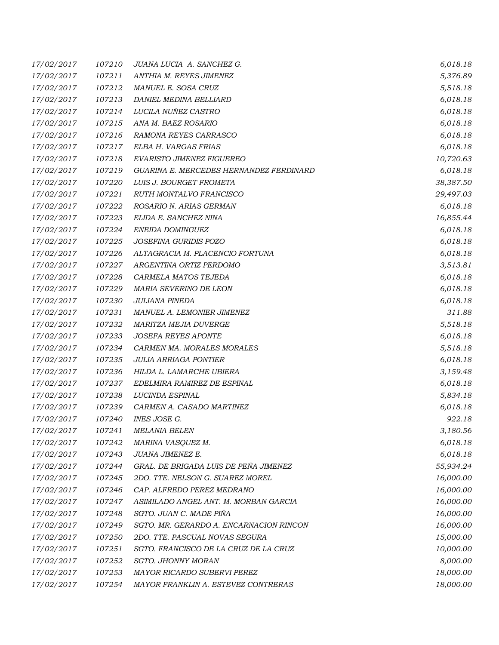| 17/02/2017 | 107210 | JUANA LUCIA A. SANCHEZ G.               | 6,018.18  |
|------------|--------|-----------------------------------------|-----------|
| 17/02/2017 | 107211 | ANTHIA M. REYES JIMENEZ                 | 5,376.89  |
| 17/02/2017 | 107212 | MANUEL E. SOSA CRUZ                     | 5,518.18  |
| 17/02/2017 | 107213 | DANIEL MEDINA BELLIARD                  | 6,018.18  |
| 17/02/2017 | 107214 | LUCILA NUÑEZ CASTRO                     | 6,018.18  |
| 17/02/2017 | 107215 | ANA M. BAEZ ROSARIO                     | 6,018.18  |
| 17/02/2017 | 107216 | RAMONA REYES CARRASCO                   | 6,018.18  |
| 17/02/2017 | 107217 | ELBA H. VARGAS FRIAS                    | 6,018.18  |
| 17/02/2017 | 107218 | EVARISTO JIMENEZ FIGUEREO               | 10,720.63 |
| 17/02/2017 | 107219 | GUARINA E. MERCEDES HERNANDEZ FERDINARD | 6,018.18  |
| 17/02/2017 | 107220 | LUIS J. BOURGET FROMETA                 | 38,387.50 |
| 17/02/2017 | 107221 | RUTH MONTALVO FRANCISCO                 | 29,497.03 |
| 17/02/2017 | 107222 | ROSARIO N. ARIAS GERMAN                 | 6,018.18  |
| 17/02/2017 | 107223 | ELIDA E. SANCHEZ NINA                   | 16,855.44 |
| 17/02/2017 | 107224 | ENEIDA DOMINGUEZ                        | 6,018.18  |
| 17/02/2017 | 107225 | JOSEFINA GURIDIS POZO                   | 6,018.18  |
| 17/02/2017 | 107226 | ALTAGRACIA M. PLACENCIO FORTUNA         | 6,018.18  |
| 17/02/2017 | 107227 | ARGENTINA ORTIZ PERDOMO                 | 3,513.81  |
| 17/02/2017 | 107228 | CARMELA MATOS TEJEDA                    | 6,018.18  |
| 17/02/2017 | 107229 | MARIA SEVERINO DE LEON                  | 6,018.18  |
| 17/02/2017 | 107230 | <b>JULIANA PINEDA</b>                   | 6,018.18  |
| 17/02/2017 | 107231 | MANUEL A. LEMONIER JIMENEZ              | 311.88    |
| 17/02/2017 | 107232 | MARITZA MEJIA DUVERGE                   | 5,518.18  |
| 17/02/2017 | 107233 | <b>JOSEFA REYES APONTE</b>              | 6,018.18  |
| 17/02/2017 | 107234 | CARMEN MA. MORALES MORALES              | 5,518.18  |
| 17/02/2017 | 107235 | <b>JULIA ARRIAGA PONTIER</b>            | 6,018.18  |
| 17/02/2017 | 107236 | HILDA L. LAMARCHE UBIERA                | 3,159.48  |
| 17/02/2017 | 107237 | EDELMIRA RAMIREZ DE ESPINAL             | 6,018.18  |
| 17/02/2017 | 107238 | LUCINDA ESPINAL                         | 5,834.18  |
| 17/02/2017 | 107239 | CARMEN A. CASADO MARTINEZ               | 6,018.18  |
| 17/02/2017 | 107240 | <b>INES JOSE G.</b>                     | 922.18    |
| 17/02/2017 | 107241 | <i>MELANIA BELEN</i>                    | 3,180.56  |
| 17/02/2017 | 107242 | MARINA VASQUEZ M.                       | 6,018.18  |
| 17/02/2017 | 107243 | JUANA JIMENEZ E.                        | 6,018.18  |
| 17/02/2017 | 107244 | GRAL. DE BRIGADA LUIS DE PEÑA JIMENEZ   | 55,934.24 |
| 17/02/2017 | 107245 | 2DO. TTE. NELSON G. SUAREZ MOREL        | 16,000.00 |
| 17/02/2017 | 107246 | CAP. ALFREDO PEREZ MEDRANO              | 16,000.00 |
| 17/02/2017 | 107247 | ASIMILADO ANGEL ANT. M. MORBAN GARCIA   | 16,000.00 |
| 17/02/2017 | 107248 | SGTO. JUAN C. MADE PIÑA                 | 16,000.00 |
| 17/02/2017 | 107249 | SGTO. MR. GERARDO A. ENCARNACION RINCON | 16,000.00 |
| 17/02/2017 | 107250 | 2DO. TTE. PASCUAL NOVAS SEGURA          | 15,000.00 |
| 17/02/2017 | 107251 | SGTO. FRANCISCO DE LA CRUZ DE LA CRUZ   | 10,000.00 |
| 17/02/2017 | 107252 | SGTO. JHONNY MORAN                      | 8,000.00  |
| 17/02/2017 | 107253 | MAYOR RICARDO SUBERVI PEREZ             | 18,000.00 |
| 17/02/2017 | 107254 | MAYOR FRANKLIN A. ESTEVEZ CONTRERAS     | 18,000.00 |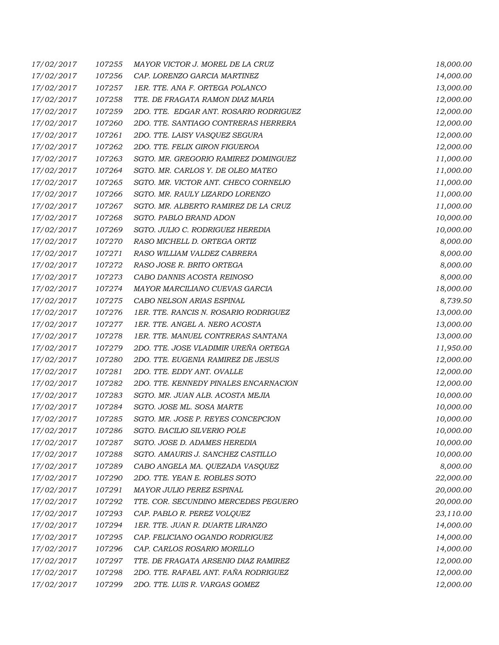| 17/02/2017 | 107255 | MAYOR VICTOR J. MOREL DE LA CRUZ       | 18,000.00 |
|------------|--------|----------------------------------------|-----------|
| 17/02/2017 | 107256 | CAP. LORENZO GARCIA MARTINEZ           | 14,000.00 |
| 17/02/2017 | 107257 | 1ER. TTE. ANA F. ORTEGA POLANCO        | 13,000.00 |
| 17/02/2017 | 107258 | TTE. DE FRAGATA RAMON DIAZ MARIA       | 12,000.00 |
| 17/02/2017 | 107259 | 2DO. TTE. EDGAR ANT. ROSARIO RODRIGUEZ | 12,000.00 |
| 17/02/2017 | 107260 | 2DO. TTE. SANTIAGO CONTRERAS HERRERA   | 12,000.00 |
| 17/02/2017 | 107261 | 2DO. TTE. LAISY VASQUEZ SEGURA         | 12,000.00 |
| 17/02/2017 | 107262 | 2DO. TTE. FELIX GIRON FIGUEROA         | 12,000.00 |
| 17/02/2017 | 107263 | SGTO. MR. GREGORIO RAMIREZ DOMINGUEZ   | 11,000.00 |
| 17/02/2017 | 107264 | SGTO. MR. CARLOS Y. DE OLEO MATEO      | 11,000.00 |
| 17/02/2017 | 107265 | SGTO. MR. VICTOR ANT. CHECO CORNELIO   | 11,000.00 |
| 17/02/2017 | 107266 | SGTO. MR. RAULY LIZARDO LORENZO        | 11,000.00 |
| 17/02/2017 | 107267 | SGTO. MR. ALBERTO RAMIREZ DE LA CRUZ   | 11,000.00 |
| 17/02/2017 | 107268 | SGTO. PABLO BRAND ADON                 | 10,000.00 |
| 17/02/2017 | 107269 | SGTO. JULIO C. RODRIGUEZ HEREDIA       | 10,000.00 |
| 17/02/2017 | 107270 | RASO MICHELL D. ORTEGA ORTIZ           | 8,000.00  |
| 17/02/2017 | 107271 | RASO WILLIAM VALDEZ CABRERA            | 8,000.00  |
| 17/02/2017 | 107272 | RASO JOSE R. BRITO ORTEGA              | 8,000.00  |
| 17/02/2017 | 107273 | CABO DANNIS ACOSTA REINOSO             | 8,000.00  |
| 17/02/2017 | 107274 | MAYOR MARCILIANO CUEVAS GARCIA         | 18,000.00 |
| 17/02/2017 | 107275 | CABO NELSON ARIAS ESPINAL              | 8,739.50  |
| 17/02/2017 | 107276 | 1ER. TTE. RANCIS N. ROSARIO RODRIGUEZ  | 13,000.00 |
| 17/02/2017 | 107277 | 1ER. TTE. ANGEL A. NERO ACOSTA         | 13,000.00 |
| 17/02/2017 | 107278 | 1ER. TTE. MANUEL CONTRERAS SANTANA     | 13,000.00 |
| 17/02/2017 | 107279 | 2DO. TTE. JOSE VLADIMIR UREÑA ORTEGA   | 11,950.00 |
| 17/02/2017 | 107280 | 2DO. TTE. EUGENIA RAMIREZ DE JESUS     | 12,000.00 |
| 17/02/2017 | 107281 | 2DO. TTE. EDDY ANT. OVALLE             | 12,000.00 |
| 17/02/2017 | 107282 | 2DO. TTE. KENNEDY PINALES ENCARNACION  | 12,000.00 |
| 17/02/2017 | 107283 | SGTO. MR. JUAN ALB. ACOSTA MEJIA       | 10,000.00 |
| 17/02/2017 | 107284 | SGTO. JOSE ML. SOSA MARTE              | 10,000.00 |
| 17/02/2017 | 107285 | SGTO. MR. JOSE P. REYES CONCEPCION     | 10,000.00 |
| 17/02/2017 | 107286 | SGTO. BACILIO SILVERIO POLE            | 10,000.00 |
| 17/02/2017 | 107287 | SGTO. JOSE D. ADAMES HEREDIA           | 10,000.00 |
| 17/02/2017 | 107288 | SGTO. AMAURIS J. SANCHEZ CASTILLO      | 10,000.00 |
| 17/02/2017 | 107289 | CABO ANGELA MA. QUEZADA VASQUEZ        | 8,000.00  |
| 17/02/2017 | 107290 | 2DO. TTE. YEAN E. ROBLES SOTO          | 22,000.00 |
| 17/02/2017 | 107291 | MAYOR JULIO PEREZ ESPINAL              | 20,000.00 |
| 17/02/2017 | 107292 | TTE. COR. SECUNDINO MERCEDES PEGUERO   | 20,000.00 |
| 17/02/2017 | 107293 | CAP. PABLO R. PEREZ VOLQUEZ            | 23,110.00 |
| 17/02/2017 | 107294 | 1ER. TTE. JUAN R. DUARTE LIRANZO       | 14,000.00 |
| 17/02/2017 | 107295 | CAP. FELICIANO OGANDO RODRIGUEZ        | 14,000.00 |
| 17/02/2017 | 107296 | CAP. CARLOS ROSARIO MORILLO            | 14,000.00 |
| 17/02/2017 | 107297 | TTE. DE FRAGATA ARSENIO DIAZ RAMIREZ   | 12,000.00 |
| 17/02/2017 | 107298 | 2DO. TTE. RAFAEL ANT. FAÑA RODRIGUEZ   | 12,000.00 |
| 17/02/2017 | 107299 | 2DO. TTE. LUIS R. VARGAS GOMEZ         | 12,000.00 |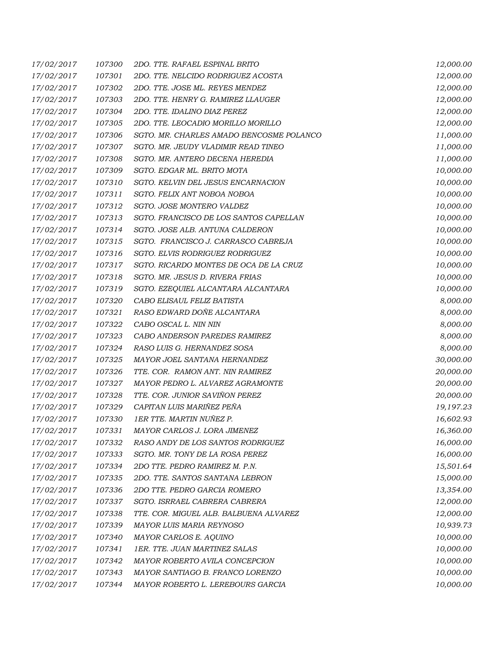| 17/02/2017 | 107300 | 2DO. TTE. RAFAEL ESPINAL BRITO           | 12,000.00 |
|------------|--------|------------------------------------------|-----------|
| 17/02/2017 | 107301 | 2DO. TTE. NELCIDO RODRIGUEZ ACOSTA       | 12,000.00 |
| 17/02/2017 | 107302 | 2DO. TTE. JOSE ML. REYES MENDEZ          | 12,000.00 |
| 17/02/2017 | 107303 | 2DO. TTE. HENRY G. RAMIREZ LLAUGER       | 12,000.00 |
| 17/02/2017 | 107304 | 2DO. TTE. IDALINO DIAZ PEREZ             | 12,000.00 |
| 17/02/2017 | 107305 | 2DO. TTE. LEOCADIO MORILLO MORILLO       | 12,000.00 |
| 17/02/2017 | 107306 | SGTO. MR. CHARLES AMADO BENCOSME POLANCO | 11,000.00 |
| 17/02/2017 | 107307 | SGTO. MR. JEUDY VLADIMIR READ TINEO      | 11,000.00 |
| 17/02/2017 | 107308 | SGTO. MR. ANTERO DECENA HEREDIA          | 11,000.00 |
| 17/02/2017 | 107309 | SGTO. EDGAR ML. BRITO MOTA               | 10,000.00 |
| 17/02/2017 | 107310 | SGTO. KELVIN DEL JESUS ENCARNACION       | 10,000.00 |
| 17/02/2017 | 107311 | SGTO. FELIX ANT NOBOA NOBOA              | 10,000.00 |
| 17/02/2017 | 107312 | SGTO. JOSE MONTERO VALDEZ                | 10,000.00 |
| 17/02/2017 | 107313 | SGTO. FRANCISCO DE LOS SANTOS CAPELLAN   | 10,000.00 |
| 17/02/2017 | 107314 | SGTO. JOSE ALB. ANTUNA CALDERON          | 10,000.00 |
| 17/02/2017 | 107315 | SGTO. FRANCISCO J. CARRASCO CABREJA      | 10,000.00 |
| 17/02/2017 | 107316 | SGTO. ELVIS RODRIGUEZ RODRIGUEZ          | 10,000.00 |
| 17/02/2017 | 107317 | SGTO. RICARDO MONTES DE OCA DE LA CRUZ   | 10,000.00 |
| 17/02/2017 | 107318 | SGTO. MR. JESUS D. RIVERA FRIAS          | 10,000.00 |
| 17/02/2017 | 107319 | SGTO. EZEQUIEL ALCANTARA ALCANTARA       | 10,000.00 |
| 17/02/2017 | 107320 | CABO ELISAUL FELIZ BATISTA               | 8,000.00  |
| 17/02/2017 | 107321 | RASO EDWARD DOÑE ALCANTARA               | 8,000.00  |
| 17/02/2017 | 107322 | CABO OSCAL L. NIN NIN                    | 8,000.00  |
| 17/02/2017 | 107323 | CABO ANDERSON PAREDES RAMIREZ            | 8,000.00  |
| 17/02/2017 | 107324 | RASO LUIS G. HERNANDEZ SOSA              | 8,000.00  |
| 17/02/2017 | 107325 | MAYOR JOEL SANTANA HERNANDEZ             | 30,000.00 |
| 17/02/2017 | 107326 | TTE. COR. RAMON ANT. NIN RAMIREZ         | 20,000.00 |
| 17/02/2017 | 107327 | MAYOR PEDRO L. ALVAREZ AGRAMONTE         | 20,000.00 |
| 17/02/2017 | 107328 | TTE. COR. JUNIOR SAVIÑON PEREZ           | 20,000.00 |
| 17/02/2017 | 107329 | CAPITAN LUIS MARIÑEZ PEÑA                | 19,197.23 |
| 17/02/2017 | 107330 | 1ER TTE. MARTIN NUÑEZ P.                 | 16,602.93 |
| 17/02/2017 | 107331 | MAYOR CARLOS J. LORA JIMENEZ             | 16,360.00 |
| 17/02/2017 | 107332 | RASO ANDY DE LOS SANTOS RODRIGUEZ        | 16,000.00 |
| 17/02/2017 | 107333 | SGTO. MR. TONY DE LA ROSA PEREZ          | 16,000.00 |
| 17/02/2017 | 107334 | 2DO TTE. PEDRO RAMIREZ M. P.N.           | 15,501.64 |
| 17/02/2017 | 107335 | 2DO. TTE. SANTOS SANTANA LEBRON          | 15,000.00 |
| 17/02/2017 | 107336 | 2DO TTE. PEDRO GARCIA ROMERO             | 13,354.00 |
| 17/02/2017 | 107337 | SGTO. ISRRAEL CABRERA CABRERA            | 12,000.00 |
| 17/02/2017 | 107338 | TTE. COR. MIGUEL ALB. BALBUENA ALVAREZ   | 12,000.00 |
| 17/02/2017 | 107339 | MAYOR LUIS MARIA REYNOSO                 | 10,939.73 |
| 17/02/2017 | 107340 | MAYOR CARLOS E. AQUINO                   | 10,000.00 |
| 17/02/2017 | 107341 | 1ER. TTE. JUAN MARTINEZ SALAS            | 10,000.00 |
| 17/02/2017 | 107342 | MAYOR ROBERTO AVILA CONCEPCION           | 10,000.00 |
| 17/02/2017 | 107343 | MAYOR SANTIAGO B. FRANCO LORENZO         | 10,000.00 |
| 17/02/2017 | 107344 | MAYOR ROBERTO L. LEREBOURS GARCIA        | 10,000.00 |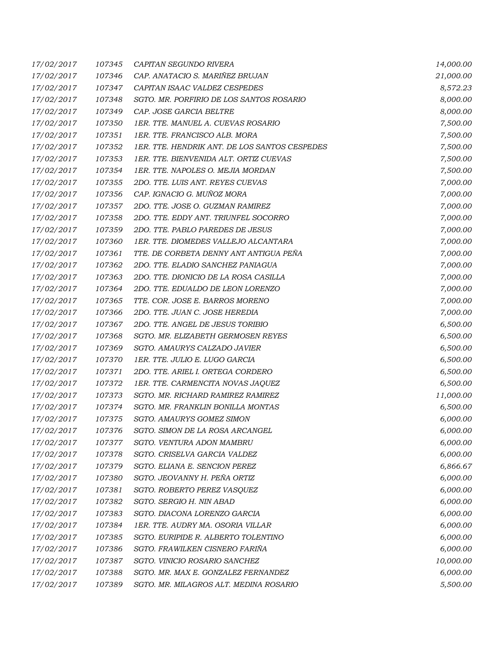| 17/02/2017 | 107345 | CAPITAN SEGUNDO RIVERA                        | 14,000.00 |
|------------|--------|-----------------------------------------------|-----------|
| 17/02/2017 | 107346 | CAP. ANATACIO S. MARIÑEZ BRUJAN               | 21,000.00 |
| 17/02/2017 | 107347 | CAPITAN ISAAC VALDEZ CESPEDES                 | 8,572.23  |
| 17/02/2017 | 107348 | SGTO. MR. PORFIRIO DE LOS SANTOS ROSARIO      | 8,000.00  |
| 17/02/2017 | 107349 | CAP. JOSE GARCIA BELTRE                       | 8,000.00  |
| 17/02/2017 | 107350 | 1ER. TTE. MANUEL A. CUEVAS ROSARIO            | 7,500.00  |
| 17/02/2017 | 107351 | 1ER. TTE. FRANCISCO ALB. MORA                 | 7,500.00  |
| 17/02/2017 | 107352 | 1ER. TTE. HENDRIK ANT. DE LOS SANTOS CESPEDES | 7,500.00  |
| 17/02/2017 | 107353 | 1ER. TTE. BIENVENIDA ALT. ORTIZ CUEVAS        | 7,500.00  |
| 17/02/2017 | 107354 | 1ER. TTE. NAPOLES O. MEJIA MORDAN             | 7,500.00  |
| 17/02/2017 | 107355 | 2DO. TTE. LUIS ANT. REYES CUEVAS              | 7,000.00  |
| 17/02/2017 | 107356 | CAP. IGNACIO G. MUÑOZ MORA                    | 7,000.00  |
| 17/02/2017 | 107357 | 2DO. TTE. JOSE O. GUZMAN RAMIREZ              | 7,000.00  |
| 17/02/2017 | 107358 | 2DO. TTE. EDDY ANT. TRIUNFEL SOCORRO          | 7,000.00  |
| 17/02/2017 | 107359 | 2DO. TTE. PABLO PAREDES DE JESUS              | 7,000.00  |
| 17/02/2017 | 107360 | 1ER. TTE. DIOMEDES VALLEJO ALCANTARA          | 7,000.00  |
| 17/02/2017 | 107361 | TTE. DE CORBETA DENNY ANT ANTIGUA PEÑA        | 7,000.00  |
| 17/02/2017 | 107362 | 2DO. TTE. ELADIO SANCHEZ PANIAGUA             | 7,000.00  |
| 17/02/2017 | 107363 | 2DO. TTE. DIONICIO DE LA ROSA CASILLA         | 7,000.00  |
| 17/02/2017 | 107364 | 2DO. TTE. EDUALDO DE LEON LORENZO             | 7,000.00  |
| 17/02/2017 | 107365 | TTE. COR. JOSE E. BARROS MORENO               | 7,000.00  |
| 17/02/2017 | 107366 | 2DO. TTE. JUAN C. JOSE HEREDIA                | 7,000.00  |
| 17/02/2017 | 107367 | 2DO. TTE. ANGEL DE JESUS TORIBIO              | 6,500.00  |
| 17/02/2017 | 107368 | SGTO. MR. ELIZABETH GERMOSEN REYES            | 6,500.00  |
| 17/02/2017 | 107369 | SGTO. AMAURYS CALZADO JAVIER                  | 6,500.00  |
| 17/02/2017 | 107370 | 1ER. TTE. JULIO E. LUGO GARCIA                | 6,500.00  |
| 17/02/2017 | 107371 | 2DO. TTE. ARIEL I. ORTEGA CORDERO             | 6,500.00  |
| 17/02/2017 | 107372 | 1ER. TTE. CARMENCITA NOVAS JAQUEZ             | 6,500.00  |
| 17/02/2017 | 107373 | SGTO. MR. RICHARD RAMIREZ RAMIREZ             | 11,000.00 |
| 17/02/2017 | 107374 | SGTO. MR. FRANKLIN BONILLA MONTAS             | 6,500.00  |
| 17/02/2017 | 107375 | SGTO. AMAURYS GOMEZ SIMON                     | 6,000.00  |
| 17/02/2017 | 107376 | SGTO. SIMON DE LA ROSA ARCANGEL               | 6,000.00  |
| 17/02/2017 | 107377 | SGTO. VENTURA ADON MAMBRU                     | 6,000.00  |
| 17/02/2017 | 107378 | SGTO. CRISELVA GARCIA VALDEZ                  | 6,000.00  |
| 17/02/2017 | 107379 | SGTO. ELIANA E. SENCION PEREZ                 | 6,866.67  |
| 17/02/2017 | 107380 | SGTO. JEOVANNY H. PEÑA ORTIZ                  | 6,000.00  |
| 17/02/2017 | 107381 | SGTO. ROBERTO PEREZ VASQUEZ                   | 6,000.00  |
| 17/02/2017 | 107382 | SGTO. SERGIO H. NIN ABAD                      | 6,000.00  |
| 17/02/2017 | 107383 | SGTO. DIACONA LORENZO GARCIA                  | 6,000.00  |
| 17/02/2017 | 107384 | 1ER. TTE. AUDRY MA. OSORIA VILLAR             | 6,000.00  |
| 17/02/2017 | 107385 | SGTO. EURIPIDE R. ALBERTO TOLENTINO           | 6,000.00  |
| 17/02/2017 | 107386 | SGTO. FRAWILKEN CISNERO FARIÑA                | 6,000.00  |
| 17/02/2017 | 107387 | SGTO. VINICIO ROSARIO SANCHEZ                 | 10,000.00 |
| 17/02/2017 | 107388 | SGTO. MR. MAX E. GONZALEZ FERNANDEZ           | 6,000.00  |
| 17/02/2017 | 107389 | SGTO. MR. MILAGROS ALT. MEDINA ROSARIO        | 5,500.00  |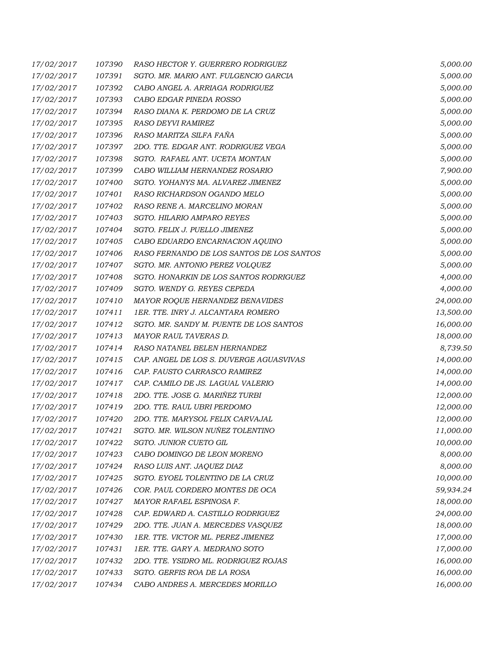| 17/02/2017 | 107390 | RASO HECTOR Y. GUERRERO RODRIGUEZ         | 5,000.00  |
|------------|--------|-------------------------------------------|-----------|
| 17/02/2017 | 107391 | SGTO. MR. MARIO ANT. FULGENCIO GARCIA     | 5,000.00  |
| 17/02/2017 | 107392 | CABO ANGEL A. ARRIAGA RODRIGUEZ           | 5,000.00  |
| 17/02/2017 | 107393 | CABO EDGAR PINEDA ROSSO                   | 5,000.00  |
| 17/02/2017 | 107394 | RASO DIANA K. PERDOMO DE LA CRUZ          | 5,000.00  |
| 17/02/2017 | 107395 | RASO DEYVI RAMIREZ                        | 5,000.00  |
| 17/02/2017 | 107396 | RASO MARITZA SILFA FAÑA                   | 5,000.00  |
| 17/02/2017 | 107397 | 2DO. TTE. EDGAR ANT. RODRIGUEZ VEGA       | 5,000.00  |
| 17/02/2017 | 107398 | SGTO. RAFAEL ANT. UCETA MONTAN            | 5,000.00  |
| 17/02/2017 | 107399 | CABO WILLIAM HERNANDEZ ROSARIO            | 7,900.00  |
| 17/02/2017 | 107400 | SGTO. YOHANYS MA. ALVAREZ JIMENEZ         | 5,000.00  |
| 17/02/2017 | 107401 | RASO RICHARDSON OGANDO MELO               | 5,000.00  |
| 17/02/2017 | 107402 | RASO RENE A. MARCELINO MORAN              | 5,000.00  |
| 17/02/2017 | 107403 | SGTO. HILARIO AMPARO REYES                | 5,000.00  |
| 17/02/2017 | 107404 | SGTO. FELIX J. PUELLO JIMENEZ             | 5,000.00  |
| 17/02/2017 | 107405 | CABO EDUARDO ENCARNACION AQUINO           | 5,000.00  |
| 17/02/2017 | 107406 | RASO FERNANDO DE LOS SANTOS DE LOS SANTOS | 5,000.00  |
| 17/02/2017 | 107407 | SGTO. MR. ANTONIO PEREZ VOLQUEZ           | 5,000.00  |
| 17/02/2017 | 107408 | SGTO. HONARKIN DE LOS SANTOS RODRIGUEZ    | 4,000.00  |
| 17/02/2017 | 107409 | SGTO. WENDY G. REYES CEPEDA               | 4,000.00  |
| 17/02/2017 | 107410 | MAYOR ROQUE HERNANDEZ BENAVIDES           | 24,000.00 |
| 17/02/2017 | 107411 | 1ER. TTE. INRY J. ALCANTARA ROMERO        | 13,500.00 |
| 17/02/2017 | 107412 | SGTO. MR. SANDY M. PUENTE DE LOS SANTOS   | 16,000.00 |
| 17/02/2017 | 107413 | MAYOR RAUL TAVERAS D.                     | 18,000.00 |
| 17/02/2017 | 107414 | RASO NATANEL BELEN HERNANDEZ              | 8,739.50  |
| 17/02/2017 | 107415 | CAP. ANGEL DE LOS S. DUVERGE AGUASVIVAS   | 14,000.00 |
| 17/02/2017 | 107416 | CAP. FAUSTO CARRASCO RAMIREZ              | 14,000.00 |
| 17/02/2017 | 107417 | CAP. CAMILO DE JS. LAGUAL VALERIO         | 14,000.00 |
| 17/02/2017 | 107418 | 2DO. TTE. JOSE G. MARIÑEZ TURBI           | 12,000.00 |
| 17/02/2017 | 107419 | 2DO. TTE. RAUL UBRI PERDOMO               | 12,000.00 |
| 17/02/2017 | 107420 | 2DO. TTE. MARYSOL FELIX CARVAJAL          | 12,000.00 |
| 17/02/2017 | 107421 | SGTO. MR. WILSON NUÑEZ TOLENTINO          | 11,000.00 |
| 17/02/2017 | 107422 | SGTO. JUNIOR CUETO GIL                    | 10,000.00 |
| 17/02/2017 | 107423 | CABO DOMINGO DE LEON MORENO               | 8,000.00  |
| 17/02/2017 | 107424 | RASO LUIS ANT. JAQUEZ DIAZ                | 8,000.00  |
| 17/02/2017 | 107425 | SGTO. EYOEL TOLENTINO DE LA CRUZ          | 10,000.00 |
| 17/02/2017 | 107426 | COR. PAUL CORDERO MONTES DE OCA           | 59,934.24 |
| 17/02/2017 | 107427 | MAYOR RAFAEL ESPINOSA F.                  | 18,000.00 |
| 17/02/2017 | 107428 | CAP. EDWARD A. CASTILLO RODRIGUEZ         | 24,000.00 |
| 17/02/2017 | 107429 | 2DO. TTE. JUAN A. MERCEDES VASQUEZ        | 18,000.00 |
| 17/02/2017 | 107430 | 1ER. TTE. VICTOR ML. PEREZ JIMENEZ        | 17,000.00 |
| 17/02/2017 | 107431 | 1ER. TTE. GARY A. MEDRANO SOTO            | 17,000.00 |
| 17/02/2017 | 107432 | 2DO. TTE. YSIDRO ML. RODRIGUEZ ROJAS      | 16,000.00 |
| 17/02/2017 | 107433 | SGTO. GERFIS ROA DE LA ROSA               | 16,000.00 |
| 17/02/2017 | 107434 | CABO ANDRES A. MERCEDES MORILLO           | 16,000.00 |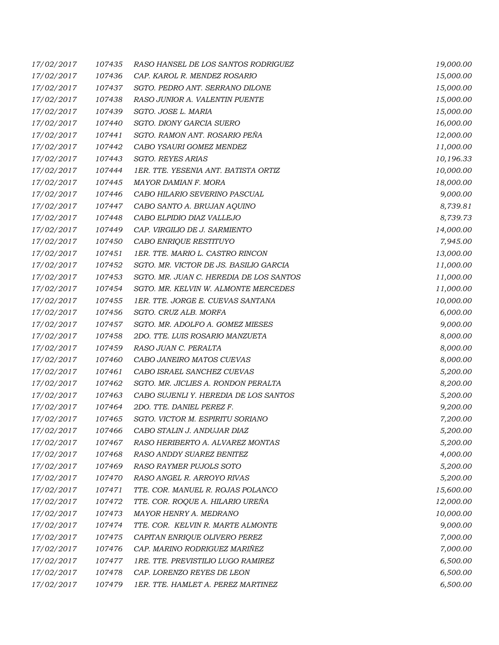| 17/02/2017 | 107435 | RASO HANSEL DE LOS SANTOS RODRIGUEZ     | 19,000.00 |
|------------|--------|-----------------------------------------|-----------|
| 17/02/2017 | 107436 | CAP. KAROL R. MENDEZ ROSARIO            | 15,000.00 |
| 17/02/2017 | 107437 | SGTO. PEDRO ANT. SERRANO DILONE         | 15,000.00 |
| 17/02/2017 | 107438 | RASO JUNIOR A. VALENTIN PUENTE          | 15,000.00 |
| 17/02/2017 | 107439 | SGTO. JOSE L. MARIA                     | 15,000.00 |
| 17/02/2017 | 107440 | SGTO. DIONY GARCIA SUERO                | 16,000.00 |
| 17/02/2017 | 107441 | SGTO. RAMON ANT. ROSARIO PEÑA           | 12,000.00 |
| 17/02/2017 | 107442 | CABO YSAURI GOMEZ MENDEZ                | 11,000.00 |
| 17/02/2017 | 107443 | SGTO. REYES ARIAS                       | 10,196.33 |
| 17/02/2017 | 107444 | 1ER. TTE. YESENIA ANT. BATISTA ORTIZ    | 10,000.00 |
| 17/02/2017 | 107445 | MAYOR DAMIAN F. MORA                    | 18,000.00 |
| 17/02/2017 | 107446 | CABO HILARIO SEVERINO PASCUAL           | 9,000.00  |
| 17/02/2017 | 107447 | CABO SANTO A. BRUJAN AQUINO             | 8,739.81  |
| 17/02/2017 | 107448 | CABO ELPIDIO DIAZ VALLEJO               | 8,739.73  |
| 17/02/2017 | 107449 | CAP. VIRGILIO DE J. SARMIENTO           | 14,000.00 |
| 17/02/2017 | 107450 | CABO ENRIQUE RESTITUYO                  | 7,945.00  |
| 17/02/2017 | 107451 | 1ER. TTE. MARIO L. CASTRO RINCON        | 13,000.00 |
| 17/02/2017 | 107452 | SGTO. MR. VICTOR DE JS. BASILIO GARCIA  | 11,000.00 |
| 17/02/2017 | 107453 | SGTO. MR. JUAN C. HEREDIA DE LOS SANTOS | 11,000.00 |
| 17/02/2017 | 107454 | SGTO. MR. KELVIN W. ALMONTE MERCEDES    | 11,000.00 |
| 17/02/2017 | 107455 | 1ER. TTE. JORGE E. CUEVAS SANTANA       | 10,000.00 |
| 17/02/2017 | 107456 | SGTO. CRUZ ALB. MORFA                   | 6,000.00  |
| 17/02/2017 | 107457 | SGTO. MR. ADOLFO A. GOMEZ MIESES        | 9,000.00  |
| 17/02/2017 | 107458 | 2DO. TTE. LUIS ROSARIO MANZUETA         | 8,000.00  |
| 17/02/2017 | 107459 | RASO JUAN C. PERALTA                    | 8,000.00  |
| 17/02/2017 | 107460 | CABO JANEIRO MATOS CUEVAS               | 8,000.00  |
| 17/02/2017 | 107461 | CABO ISRAEL SANCHEZ CUEVAS              | 5,200.00  |
| 17/02/2017 | 107462 | SGTO. MR. JICLIES A. RONDON PERALTA     | 8,200.00  |
| 17/02/2017 | 107463 | CABO SUJENLI Y. HEREDIA DE LOS SANTOS   | 5,200.00  |
| 17/02/2017 | 107464 | 2DO. TTE. DANIEL PEREZ F.               | 9,200.00  |
| 17/02/2017 | 107465 | SGTO. VICTOR M. ESPIRITU SORIANO        | 7,200.00  |
| 17/02/2017 | 107466 | CABO STALIN J. ANDUJAR DIAZ             | 5,200.00  |
| 17/02/2017 | 107467 | RASO HERIBERTO A. ALVAREZ MONTAS        | 5,200.00  |
| 17/02/2017 | 107468 | RASO ANDDY SUAREZ BENITEZ               | 4,000.00  |
| 17/02/2017 | 107469 | RASO RAYMER PUJOLS SOTO                 | 5,200.00  |
| 17/02/2017 | 107470 | RASO ANGEL R. ARROYO RIVAS              | 5,200.00  |
| 17/02/2017 | 107471 | TTE. COR. MANUEL R. ROJAS POLANCO       | 15,600.00 |
| 17/02/2017 | 107472 | TTE. COR. ROQUE A. HILARIO UREÑA        | 12,000.00 |
| 17/02/2017 | 107473 | MAYOR HENRY A. MEDRANO                  | 10,000.00 |
| 17/02/2017 | 107474 | TTE. COR. KELVIN R. MARTE ALMONTE       | 9,000.00  |
| 17/02/2017 | 107475 | CAPITAN ENRIQUE OLIVERO PEREZ           | 7,000.00  |
| 17/02/2017 | 107476 | CAP. MARINO RODRIGUEZ MARIÑEZ           | 7,000.00  |
| 17/02/2017 | 107477 | 1RE. TTE. PREVISTILIO LUGO RAMIREZ      | 6,500.00  |
| 17/02/2017 | 107478 | CAP. LORENZO REYES DE LEON              | 6,500.00  |
| 17/02/2017 | 107479 | 1ER. TTE. HAMLET A. PEREZ MARTINEZ      | 6,500.00  |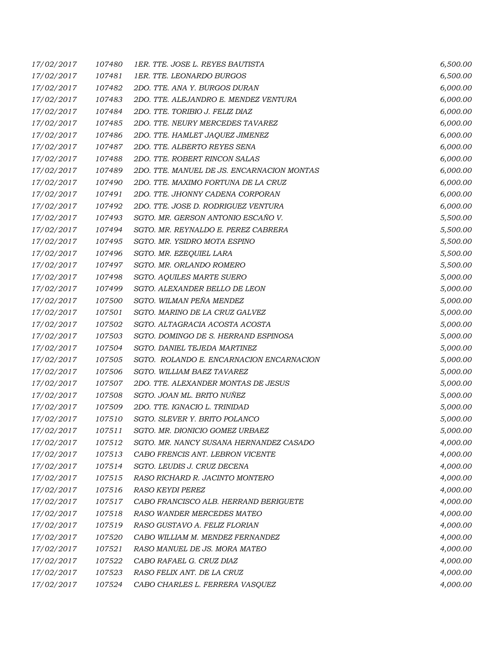| 17/02/2017 | 107480 | 1ER. TTE. JOSE L. REYES BAUTISTA           | 6,500.00 |
|------------|--------|--------------------------------------------|----------|
| 17/02/2017 | 107481 | 1ER. TTE. LEONARDO BURGOS                  | 6,500.00 |
| 17/02/2017 | 107482 | 2DO. TTE. ANA Y. BURGOS DURAN              | 6,000.00 |
| 17/02/2017 | 107483 | 2DO. TTE. ALEJANDRO E. MENDEZ VENTURA      | 6,000.00 |
| 17/02/2017 | 107484 | 2DO. TTE. TORIBIO J. FELIZ DIAZ            | 6,000.00 |
| 17/02/2017 | 107485 | 2DO. TTE. NEURY MERCEDES TAVAREZ           | 6,000.00 |
| 17/02/2017 | 107486 | 2DO. TTE. HAMLET JAQUEZ JIMENEZ            | 6,000.00 |
| 17/02/2017 | 107487 | 2DO. TTE. ALBERTO REYES SENA               | 6,000.00 |
| 17/02/2017 | 107488 | 2DO. TTE. ROBERT RINCON SALAS              | 6,000.00 |
| 17/02/2017 | 107489 | 2DO. TTE. MANUEL DE JS. ENCARNACION MONTAS | 6,000.00 |
| 17/02/2017 | 107490 | 2DO. TTE. MAXIMO FORTUNA DE LA CRUZ        | 6,000.00 |
| 17/02/2017 | 107491 | 2DO. TTE. JHONNY CADENA CORPORAN           | 6,000.00 |
| 17/02/2017 | 107492 | 2DO. TTE. JOSE D. RODRIGUEZ VENTURA        | 6,000.00 |
| 17/02/2017 | 107493 | SGTO. MR. GERSON ANTONIO ESCAÑO V.         | 5,500.00 |
| 17/02/2017 | 107494 | SGTO. MR. REYNALDO E. PEREZ CABRERA        | 5,500.00 |
| 17/02/2017 | 107495 | SGTO. MR. YSIDRO MOTA ESPINO               | 5,500.00 |
| 17/02/2017 | 107496 | SGTO. MR. EZEQUIEL LARA                    | 5,500.00 |
| 17/02/2017 | 107497 | SGTO. MR. ORLANDO ROMERO                   | 5,500.00 |
| 17/02/2017 | 107498 | SGTO. AQUILES MARTE SUERO                  | 5,000.00 |
| 17/02/2017 | 107499 | SGTO. ALEXANDER BELLO DE LEON              | 5,000.00 |
| 17/02/2017 | 107500 | SGTO. WILMAN PEÑA MENDEZ                   | 5,000.00 |
| 17/02/2017 | 107501 | SGTO. MARINO DE LA CRUZ GALVEZ             | 5,000.00 |
| 17/02/2017 | 107502 | SGTO. ALTAGRACIA ACOSTA ACOSTA             | 5,000.00 |
| 17/02/2017 | 107503 | SGTO. DOMINGO DE S. HERRAND ESPINOSA       | 5,000.00 |
| 17/02/2017 | 107504 | SGTO. DANIEL TEJEDA MARTINEZ               | 5,000.00 |
| 17/02/2017 | 107505 | SGTO. ROLANDO E. ENCARNACION ENCARNACION   | 5,000.00 |
| 17/02/2017 | 107506 | SGTO. WILLIAM BAEZ TAVAREZ                 | 5,000.00 |
| 17/02/2017 | 107507 | 2DO. TTE. ALEXANDER MONTAS DE JESUS        | 5,000.00 |
| 17/02/2017 | 107508 | SGTO. JOAN ML. BRITO NUÑEZ                 | 5,000.00 |
| 17/02/2017 | 107509 | 2DO. TTE. IGNACIO L. TRINIDAD              | 5,000.00 |
| 17/02/2017 | 107510 | SGTO. SLEVER Y. BRITO POLANCO              | 5,000.00 |
| 17/02/2017 | 107511 | SGTO. MR. DIONICIO GOMEZ URBAEZ            | 5,000.00 |
| 17/02/2017 | 107512 | SGTO. MR. NANCY SUSANA HERNANDEZ CASADO    | 4,000.00 |
| 17/02/2017 | 107513 | CABO FRENCIS ANT. LEBRON VICENTE           | 4,000.00 |
| 17/02/2017 | 107514 | SGTO. LEUDIS J. CRUZ DECENA                | 4,000.00 |
| 17/02/2017 | 107515 | RASO RICHARD R. JACINTO MONTERO            | 4,000.00 |
| 17/02/2017 | 107516 | <b>RASO KEYDI PEREZ</b>                    | 4,000.00 |
| 17/02/2017 | 107517 | CABO FRANCISCO ALB. HERRAND BERIGUETE      | 4,000.00 |
| 17/02/2017 | 107518 | RASO WANDER MERCEDES MATEO                 | 4,000.00 |
| 17/02/2017 | 107519 | RASO GUSTAVO A. FELIZ FLORIAN              | 4,000.00 |
| 17/02/2017 | 107520 | CABO WILLIAM M. MENDEZ FERNANDEZ           | 4,000.00 |
| 17/02/2017 | 107521 | RASO MANUEL DE JS. MORA MATEO              | 4,000.00 |
| 17/02/2017 | 107522 | CABO RAFAEL G. CRUZ DIAZ                   | 4,000.00 |
| 17/02/2017 | 107523 | RASO FELIX ANT. DE LA CRUZ                 | 4,000.00 |
| 17/02/2017 | 107524 | CABO CHARLES L. FERRERA VASQUEZ            | 4,000.00 |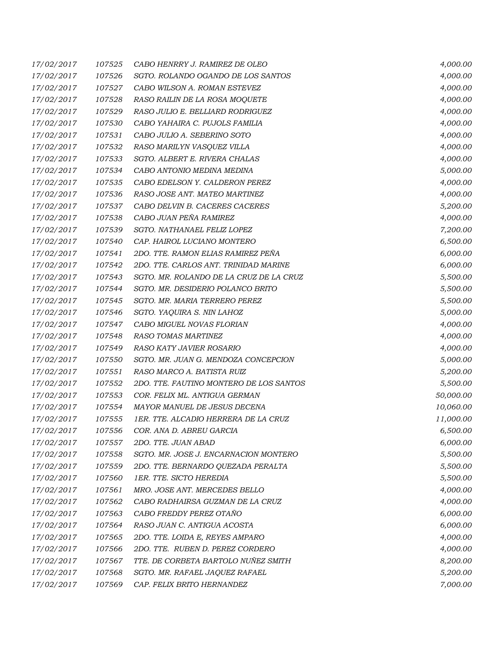| 17/02/2017 | 107525 | CABO HENRRY J. RAMIREZ DE OLEO          | 4,000.00  |
|------------|--------|-----------------------------------------|-----------|
| 17/02/2017 | 107526 | SGTO. ROLANDO OGANDO DE LOS SANTOS      | 4,000.00  |
| 17/02/2017 | 107527 | CABO WILSON A. ROMAN ESTEVEZ            | 4,000.00  |
| 17/02/2017 | 107528 | RASO RAILIN DE LA ROSA MOQUETE          | 4,000.00  |
| 17/02/2017 | 107529 | RASO JULIO E. BELLIARD RODRIGUEZ        | 4,000.00  |
| 17/02/2017 | 107530 | CABO YAHAIRA C. PUJOLS FAMILIA          | 4,000.00  |
| 17/02/2017 | 107531 | CABO JULIO A. SEBERINO SOTO             | 4,000.00  |
| 17/02/2017 | 107532 | RASO MARILYN VASQUEZ VILLA              | 4,000.00  |
| 17/02/2017 | 107533 | SGTO. ALBERT E. RIVERA CHALAS           | 4,000.00  |
| 17/02/2017 | 107534 | CABO ANTONIO MEDINA MEDINA              | 5,000.00  |
| 17/02/2017 | 107535 | CABO EDELSON Y. CALDERON PEREZ          | 4,000.00  |
| 17/02/2017 | 107536 | RASO JOSE ANT. MATEO MARTINEZ           | 4,000.00  |
| 17/02/2017 | 107537 | CABO DELVIN B. CACERES CACERES          | 5,200.00  |
| 17/02/2017 | 107538 | CABO JUAN PEÑA RAMIREZ                  | 4,000.00  |
| 17/02/2017 | 107539 | SGTO. NATHANAEL FELIZ LOPEZ             | 7,200.00  |
| 17/02/2017 | 107540 | CAP. HAIROL LUCIANO MONTERO             | 6,500.00  |
| 17/02/2017 | 107541 | 2DO. TTE. RAMON ELIAS RAMIREZ PEÑA      | 6,000.00  |
| 17/02/2017 | 107542 | 2DO. TTE. CARLOS ANT. TRINIDAD MARINE   | 6,000.00  |
| 17/02/2017 | 107543 | SGTO. MR. ROLANDO DE LA CRUZ DE LA CRUZ | 5,500.00  |
| 17/02/2017 | 107544 | SGTO. MR. DESIDERIO POLANCO BRITO       | 5,500.00  |
| 17/02/2017 | 107545 | SGTO. MR. MARIA TERRERO PEREZ           | 5,500.00  |
| 17/02/2017 | 107546 | SGTO. YAQUIRA S. NIN LAHOZ              | 5,000.00  |
| 17/02/2017 | 107547 | CABO MIGUEL NOVAS FLORIAN               | 4,000.00  |
| 17/02/2017 | 107548 | RASO TOMAS MARTINEZ                     | 4,000.00  |
| 17/02/2017 | 107549 | RASO KATY JAVIER ROSARIO                | 4,000.00  |
| 17/02/2017 | 107550 | SGTO. MR. JUAN G. MENDOZA CONCEPCION    | 5,000.00  |
| 17/02/2017 | 107551 | RASO MARCO A. BATISTA RUIZ              | 5,200.00  |
| 17/02/2017 | 107552 | 2DO. TTE. FAUTINO MONTERO DE LOS SANTOS | 5,500.00  |
| 17/02/2017 | 107553 | COR. FELIX ML. ANTIGUA GERMAN           | 50,000.00 |
| 17/02/2017 | 107554 | MAYOR MANUEL DE JESUS DECENA            | 10,060.00 |
| 17/02/2017 | 107555 | 1ER. TTE. ALCADIO HERRERA DE LA CRUZ    | 11,000.00 |
| 17/02/2017 | 107556 | COR. ANA D. ABREU GARCIA                | 6,500.00  |
| 17/02/2017 | 107557 | 2DO. TTE, JUAN ABAD                     | 6,000.00  |
| 17/02/2017 | 107558 | SGTO. MR. JOSE J. ENCARNACION MONTERO   | 5,500.00  |
| 17/02/2017 | 107559 | 2DO. TTE. BERNARDO QUEZADA PERALTA      | 5,500.00  |
| 17/02/2017 | 107560 | 1ER. TTE. SICTO HEREDIA                 | 5,500.00  |
| 17/02/2017 | 107561 | MRO. JOSE ANT. MERCEDES BELLO           | 4,000.00  |
| 17/02/2017 | 107562 | CABO RADHAIRSA GUZMAN DE LA CRUZ        | 4,000.00  |
| 17/02/2017 | 107563 | CABO FREDDY PEREZ OTAÑO                 | 6,000.00  |
| 17/02/2017 | 107564 | RASO JUAN C. ANTIGUA ACOSTA             | 6,000.00  |
| 17/02/2017 | 107565 | 2DO. TTE. LOIDA E, REYES AMPARO         | 4,000.00  |
| 17/02/2017 | 107566 | 2DO. TTE. RUBEN D. PEREZ CORDERO        | 4,000.00  |
| 17/02/2017 | 107567 | TTE. DE CORBETA BARTOLO NUÑEZ SMITH     | 8,200.00  |
| 17/02/2017 | 107568 | SGTO. MR. RAFAEL JAQUEZ RAFAEL          | 5,200.00  |
| 17/02/2017 | 107569 | CAP. FELIX BRITO HERNANDEZ              | 7,000.00  |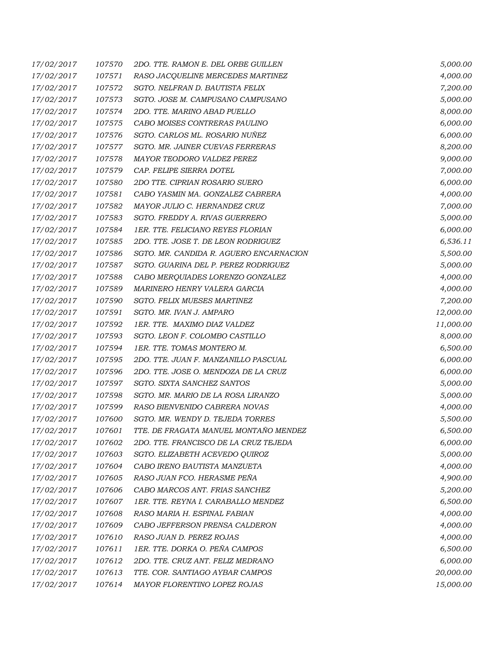| 17/02/2017 | 107570 | 2DO. TTE. RAMON E. DEL ORBE GUILLEN     | 5,000.00  |
|------------|--------|-----------------------------------------|-----------|
| 17/02/2017 | 107571 | RASO JACQUELINE MERCEDES MARTINEZ       | 4,000.00  |
| 17/02/2017 | 107572 | SGTO. NELFRAN D. BAUTISTA FELIX         | 7,200.00  |
| 17/02/2017 | 107573 | SGTO. JOSE M. CAMPUSANO CAMPUSANO       | 5,000.00  |
| 17/02/2017 | 107574 | 2DO. TTE. MARINO ABAD PUELLO            | 8,000.00  |
| 17/02/2017 | 107575 | CABO MOISES CONTRERAS PAULINO           | 6,000.00  |
| 17/02/2017 | 107576 | SGTO. CARLOS ML. ROSARIO NUÑEZ          | 6,000.00  |
| 17/02/2017 | 107577 | SGTO. MR. JAINER CUEVAS FERRERAS        | 8,200.00  |
| 17/02/2017 | 107578 | MAYOR TEODORO VALDEZ PEREZ              | 9,000.00  |
| 17/02/2017 | 107579 | CAP. FELIPE SIERRA DOTEL                | 7,000.00  |
| 17/02/2017 | 107580 | 2DO TTE. CIPRIAN ROSARIO SUERO          | 6,000.00  |
| 17/02/2017 | 107581 | CABO YASMIN MA. GONZALEZ CABRERA        | 4,000.00  |
| 17/02/2017 | 107582 | MAYOR JULIO C. HERNANDEZ CRUZ           | 7,000.00  |
| 17/02/2017 | 107583 | SGTO. FREDDY A. RIVAS GUERRERO          | 5,000.00  |
| 17/02/2017 | 107584 | 1ER. TTE. FELICIANO REYES FLORIAN       | 6,000.00  |
| 17/02/2017 | 107585 | 2DO. TTE. JOSE T. DE LEON RODRIGUEZ     | 6,536.11  |
| 17/02/2017 | 107586 | SGTO. MR. CANDIDA R. AGUERO ENCARNACION | 5,500.00  |
| 17/02/2017 | 107587 | SGTO. GUARINA DEL P. PEREZ RODRIGUEZ    | 5,000.00  |
| 17/02/2017 | 107588 | CABO MERQUIADES LORENZO GONZALEZ        | 4,000.00  |
| 17/02/2017 | 107589 | MARINERO HENRY VALERA GARCIA            | 4,000.00  |
| 17/02/2017 | 107590 | <b>SGTO. FELIX MUESES MARTINEZ</b>      | 7,200.00  |
| 17/02/2017 | 107591 | SGTO. MR. IVAN J. AMPARO                | 12,000.00 |
| 17/02/2017 | 107592 | 1ER. TTE. MAXIMO DIAZ VALDEZ            | 11,000.00 |
| 17/02/2017 | 107593 | SGTO. LEON F. COLOMBO CASTILLO          | 8,000.00  |
| 17/02/2017 | 107594 | 1ER. TTE. TOMAS MONTERO M.              | 6,500.00  |
| 17/02/2017 | 107595 | 2DO. TTE. JUAN F. MANZANILLO PASCUAL    | 6,000.00  |
| 17/02/2017 | 107596 | 2DO. TTE. JOSE O. MENDOZA DE LA CRUZ    | 6,000.00  |
| 17/02/2017 | 107597 | SGTO. SIXTA SANCHEZ SANTOS              | 5,000.00  |
| 17/02/2017 | 107598 | SGTO. MR. MARIO DE LA ROSA LIRANZO      | 5,000.00  |
| 17/02/2017 | 107599 | RASO BIENVENIDO CABRERA NOVAS           | 4,000.00  |
| 17/02/2017 | 107600 | SGTO. MR. WENDY D. TEJEDA TORRES        | 5,500.00  |
| 17/02/2017 | 107601 | TTE. DE FRAGATA MANUEL MONTAÑO MENDEZ   | 6,500.00  |
| 17/02/2017 | 107602 | 2DO. TTE. FRANCISCO DE LA CRUZ TEJEDA   | 6,000.00  |
| 17/02/2017 | 107603 | SGTO. ELIZABETH ACEVEDO QUIROZ          | 5,000.00  |
| 17/02/2017 | 107604 | CABO IRENO BAUTISTA MANZUETA            | 4,000.00  |
| 17/02/2017 | 107605 | RASO JUAN FCO. HERASME PEÑA             | 4,900.00  |
| 17/02/2017 | 107606 | CABO MARCOS ANT. FRIAS SANCHEZ          | 5,200.00  |
| 17/02/2017 | 107607 | 1ER. TTE. REYNA I. CARABALLO MENDEZ     | 6,500.00  |
| 17/02/2017 | 107608 | RASO MARIA H. ESPINAL FABIAN            | 4,000.00  |
| 17/02/2017 | 107609 | CABO JEFFERSON PRENSA CALDERON          | 4,000.00  |
| 17/02/2017 | 107610 | RASO JUAN D. PEREZ ROJAS                | 4,000.00  |
| 17/02/2017 | 107611 | 1ER. TTE. DORKA O. PEÑA CAMPOS          | 6,500.00  |
| 17/02/2017 | 107612 | 2DO. TTE. CRUZ ANT. FELIZ MEDRANO       | 6,000.00  |
| 17/02/2017 | 107613 | TTE. COR. SANTIAGO AYBAR CAMPOS         | 20,000.00 |
| 17/02/2017 | 107614 | MAYOR FLORENTINO LOPEZ ROJAS            | 15,000.00 |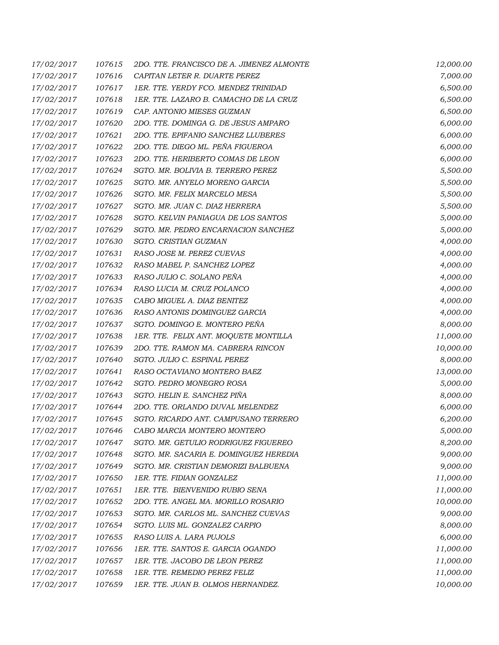| 17/02/2017 | 107615 | 2DO. TTE. FRANCISCO DE A. JIMENEZ ALMONTE | 12,000.00 |
|------------|--------|-------------------------------------------|-----------|
| 17/02/2017 | 107616 | CAPITAN LETER R. DUARTE PEREZ             | 7,000.00  |
| 17/02/2017 | 107617 | 1ER. TTE. YERDY FCO. MENDEZ TRINIDAD      | 6,500.00  |
| 17/02/2017 | 107618 | 1ER. TTE. LAZARO B. CAMACHO DE LA CRUZ    | 6,500.00  |
| 17/02/2017 | 107619 | CAP. ANTONIO MIESES GUZMAN                | 6,500.00  |
| 17/02/2017 | 107620 | 2DO. TTE. DOMINGA G. DE JESUS AMPARO      | 6,000.00  |
| 17/02/2017 | 107621 | 2DO. TTE. EPIFANIO SANCHEZ LLUBERES       | 6,000.00  |
| 17/02/2017 | 107622 | 2DO. TTE. DIEGO ML. PEÑA FIGUEROA         | 6,000.00  |
| 17/02/2017 | 107623 | 2DO. TTE. HERIBERTO COMAS DE LEON         | 6,000.00  |
| 17/02/2017 | 107624 | SGTO. MR. BOLIVIA B. TERRERO PEREZ        | 5,500.00  |
| 17/02/2017 | 107625 | SGTO. MR. ANYELO MORENO GARCIA            | 5,500.00  |
| 17/02/2017 | 107626 | SGTO. MR. FELIX MARCELO MESA              | 5,500.00  |
| 17/02/2017 | 107627 | SGTO. MR. JUAN C. DIAZ HERRERA            | 5,500.00  |
| 17/02/2017 | 107628 | SGTO. KELVIN PANIAGUA DE LOS SANTOS       | 5,000.00  |
| 17/02/2017 | 107629 | SGTO. MR. PEDRO ENCARNACION SANCHEZ       | 5,000.00  |
| 17/02/2017 | 107630 | SGTO. CRISTIAN GUZMAN                     | 4,000.00  |
| 17/02/2017 | 107631 | RASO JOSE M. PEREZ CUEVAS                 | 4,000.00  |
| 17/02/2017 | 107632 | RASO MABEL P. SANCHEZ LOPEZ               | 4,000.00  |
| 17/02/2017 | 107633 | RASO JULIO C. SOLANO PEÑA                 | 4,000.00  |
| 17/02/2017 | 107634 | RASO LUCIA M. CRUZ POLANCO                | 4,000.00  |
| 17/02/2017 | 107635 | CABO MIGUEL A. DIAZ BENITEZ               | 4,000.00  |
| 17/02/2017 | 107636 | RASO ANTONIS DOMINGUEZ GARCIA             | 4,000.00  |
| 17/02/2017 | 107637 | SGTO. DOMINGO E. MONTERO PEÑA             | 8,000.00  |
| 17/02/2017 | 107638 | 1ER. TTE. FELIX ANT. MOQUETE MONTILLA     | 11,000.00 |
| 17/02/2017 | 107639 | 2DO. TTE. RAMON MA. CABRERA RINCON        | 10,000.00 |
| 17/02/2017 | 107640 | SGTO. JULIO C. ESPINAL PEREZ              | 8,000.00  |
| 17/02/2017 | 107641 | RASO OCTAVIANO MONTERO BAEZ               | 13,000.00 |
| 17/02/2017 | 107642 | SGTO. PEDRO MONEGRO ROSA                  | 5,000.00  |
| 17/02/2017 | 107643 | SGTO. HELIN E. SANCHEZ PIÑA               | 8,000.00  |
| 17/02/2017 | 107644 | 2DO. TTE. ORLANDO DUVAL MELENDEZ          | 6,000.00  |
| 17/02/2017 | 107645 | SGTO. RICARDO ANT. CAMPUSANO TERRERO      | 6,200.00  |
| 17/02/2017 | 107646 | CABO MARCIA MONTERO MONTERO               | 5,000.00  |
| 17/02/2017 | 107647 | SGTO. MR. GETULIO RODRIGUEZ FIGUEREO      | 8,200.00  |
| 17/02/2017 | 107648 | SGTO. MR. SACARIA E. DOMINGUEZ HEREDIA    | 9,000.00  |
| 17/02/2017 | 107649 | SGTO. MR. CRISTIAN DEMORIZI BALBUENA      | 9,000.00  |
| 17/02/2017 | 107650 | 1ER. TTE. FIDIAN GONZALEZ                 | 11,000.00 |
| 17/02/2017 | 107651 | 1ER. TTE. BIENVENIDO RUBIO SENA           | 11,000.00 |
| 17/02/2017 | 107652 | 2DO. TTE. ANGEL MA. MORILLO ROSARIO       | 10,000.00 |
| 17/02/2017 | 107653 | SGTO. MR. CARLOS ML. SANCHEZ CUEVAS       | 9,000.00  |
| 17/02/2017 | 107654 | SGTO. LUIS ML. GONZALEZ CARPIO            | 8,000.00  |
| 17/02/2017 | 107655 | RASO LUIS A. LARA PUJOLS                  | 6,000.00  |
| 17/02/2017 | 107656 | 1ER. TTE. SANTOS E. GARCIA OGANDO         | 11,000.00 |
| 17/02/2017 | 107657 | 1ER. TTE. JACOBO DE LEON PEREZ            | 11,000.00 |
| 17/02/2017 | 107658 | 1ER. TTE. REMEDIO PEREZ FELIZ             | 11,000.00 |
| 17/02/2017 | 107659 | 1ER. TTE. JUAN B. OLMOS HERNANDEZ.        | 10,000.00 |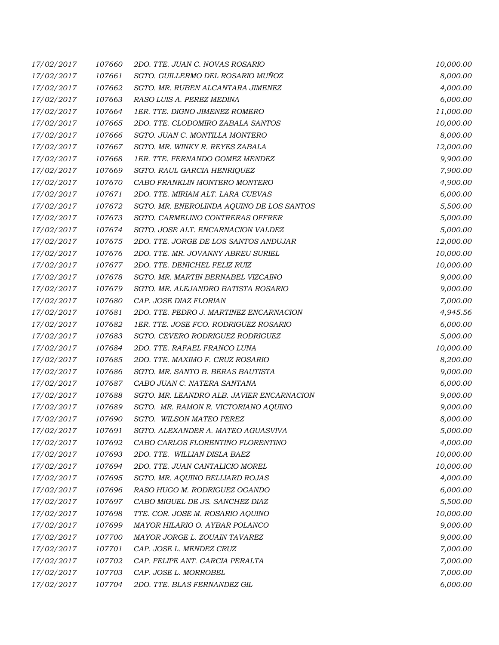| 17/02/2017 | 107660 | 2DO. TTE. JUAN C. NOVAS ROSARIO           | 10,000.00 |
|------------|--------|-------------------------------------------|-----------|
| 17/02/2017 | 107661 | SGTO. GUILLERMO DEL ROSARIO MUÑOZ         | 8,000.00  |
| 17/02/2017 | 107662 | SGTO. MR. RUBEN ALCANTARA JIMENEZ         | 4,000.00  |
| 17/02/2017 | 107663 | RASO LUIS A. PEREZ MEDINA                 | 6,000.00  |
| 17/02/2017 | 107664 | 1ER. TTE. DIGNO JIMENEZ ROMERO            | 11,000.00 |
| 17/02/2017 | 107665 | 2DO. TTE. CLODOMIRO ZABALA SANTOS         | 10,000.00 |
| 17/02/2017 | 107666 | SGTO. JUAN C. MONTILLA MONTERO            | 8,000.00  |
| 17/02/2017 | 107667 | SGTO. MR. WINKY R. REYES ZABALA           | 12,000.00 |
| 17/02/2017 | 107668 | 1ER. TTE. FERNANDO GOMEZ MENDEZ           | 9,900.00  |
| 17/02/2017 | 107669 | SGTO. RAUL GARCIA HENRIQUEZ               | 7,900.00  |
| 17/02/2017 | 107670 | CABO FRANKLIN MONTERO MONTERO             | 4,900.00  |
| 17/02/2017 | 107671 | 2DO. TTE. MIRIAM ALT. LARA CUEVAS         | 6,000.00  |
| 17/02/2017 | 107672 | SGTO. MR. ENEROLINDA AQUINO DE LOS SANTOS | 5,500.00  |
| 17/02/2017 | 107673 | SGTO. CARMELINO CONTRERAS OFFRER          | 5,000.00  |
| 17/02/2017 | 107674 | SGTO. JOSE ALT. ENCARNACION VALDEZ        | 5,000.00  |
| 17/02/2017 | 107675 | 2DO. TTE. JORGE DE LOS SANTOS ANDUJAR     | 12,000.00 |
| 17/02/2017 | 107676 | 2DO. TTE. MR. JOVANNY ABREU SURIEL        | 10,000.00 |
| 17/02/2017 | 107677 | 2DO. TTE. DENICHEL FELIZ RUIZ             | 10,000.00 |
| 17/02/2017 | 107678 | SGTO. MR. MARTIN BERNABEL VIZCAINO        | 9,000.00  |
| 17/02/2017 | 107679 | SGTO. MR. ALEJANDRO BATISTA ROSARIO       | 9,000.00  |
| 17/02/2017 | 107680 | CAP. JOSE DIAZ FLORIAN                    | 7,000.00  |
| 17/02/2017 | 107681 | 2DO. TTE. PEDRO J. MARTINEZ ENCARNACION   | 4,945.56  |
| 17/02/2017 | 107682 | 1ER. TTE. JOSE FCO. RODRIGUEZ ROSARIO     | 6,000.00  |
| 17/02/2017 | 107683 | SGTO. CEVERO RODRIGUEZ RODRIGUEZ          | 5,000.00  |
| 17/02/2017 | 107684 | 2DO. TTE. RAFAEL FRANCO LUNA              | 10,000.00 |
| 17/02/2017 | 107685 | 2DO. TTE. MAXIMO F. CRUZ ROSARIO          | 8,200.00  |
| 17/02/2017 | 107686 | SGTO. MR. SANTO B. BERAS BAUTISTA         | 9,000.00  |
| 17/02/2017 | 107687 | CABO JUAN C. NATERA SANTANA               | 6,000.00  |
| 17/02/2017 | 107688 | SGTO. MR. LEANDRO ALB. JAVIER ENCARNACION | 9,000.00  |
| 17/02/2017 | 107689 | SGTO. MR. RAMON R. VICTORIANO AQUINO      | 9,000.00  |
| 17/02/2017 | 107690 | SGTO. WILSON MATEO PEREZ                  | 8,000.00  |
| 17/02/2017 | 107691 | SGTO. ALEXANDER A. MATEO AGUASVIVA        | 5,000.00  |
| 17/02/2017 | 107692 | CABO CARLOS FLORENTINO FLORENTINO         | 4,000.00  |
| 17/02/2017 | 107693 | 2DO. TTE. WILLIAN DISLA BAEZ              | 10,000.00 |
| 17/02/2017 | 107694 | 2DO. TTE. JUAN CANTALICIO MOREL           | 10,000.00 |
| 17/02/2017 | 107695 | SGTO. MR. AQUINO BELLIARD ROJAS           | 4,000.00  |
| 17/02/2017 | 107696 | RASO HUGO M. RODRIGUEZ OGANDO             | 6,000.00  |
| 17/02/2017 | 107697 | CABO MIGUEL DE JS. SANCHEZ DIAZ           | 5,500.00  |
| 17/02/2017 | 107698 | TTE. COR. JOSE M. ROSARIO AQUINO          | 10,000.00 |
| 17/02/2017 | 107699 | MAYOR HILARIO O. AYBAR POLANCO            | 9,000.00  |
| 17/02/2017 | 107700 | MAYOR JORGE L. ZOUAIN TAVAREZ             | 9,000.00  |
| 17/02/2017 | 107701 | CAP. JOSE L. MENDEZ CRUZ                  | 7,000.00  |
| 17/02/2017 | 107702 | CAP. FELIPE ANT. GARCIA PERALTA           | 7,000.00  |
| 17/02/2017 | 107703 | CAP. JOSE L. MORROBEL                     | 7,000.00  |
| 17/02/2017 | 107704 | 2DO. TTE. BLAS FERNANDEZ GIL              | 6,000.00  |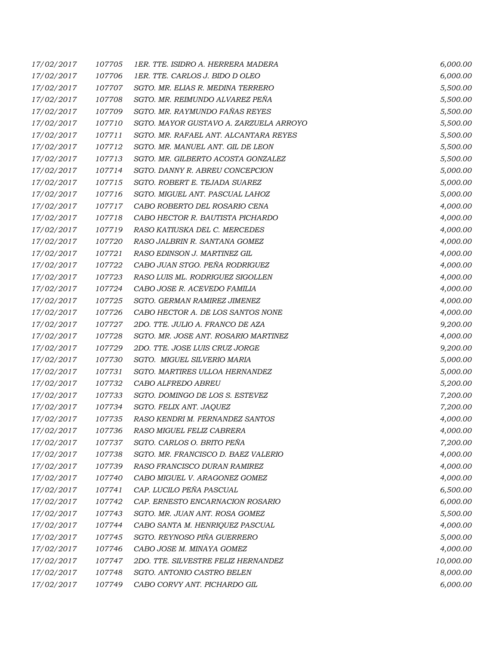| 17/02/2017 | 107705 | 1ER. TTE. ISIDRO A. HERRERA MADERA     | 6,000.00  |
|------------|--------|----------------------------------------|-----------|
| 17/02/2017 | 107706 | 1ER. TTE. CARLOS J. BIDO D OLEO        | 6,000.00  |
| 17/02/2017 | 107707 | SGTO. MR. ELIAS R. MEDINA TERRERO      | 5,500.00  |
| 17/02/2017 | 107708 | SGTO. MR. REIMUNDO ALVAREZ PEÑA        | 5,500.00  |
| 17/02/2017 | 107709 | SGTO. MR. RAYMUNDO FAÑAS REYES         | 5,500.00  |
| 17/02/2017 | 107710 | SGTO. MAYOR GUSTAVO A. ZARZUELA ARROYO | 5,500.00  |
| 17/02/2017 | 107711 | SGTO. MR. RAFAEL ANT. ALCANTARA REYES  | 5,500.00  |
| 17/02/2017 | 107712 | SGTO. MR. MANUEL ANT. GIL DE LEON      | 5,500.00  |
| 17/02/2017 | 107713 | SGTO. MR. GILBERTO ACOSTA GONZALEZ     | 5,500.00  |
| 17/02/2017 | 107714 | SGTO. DANNY R. ABREU CONCEPCION        | 5,000.00  |
| 17/02/2017 | 107715 | SGTO. ROBERT E. TEJADA SUAREZ          | 5,000.00  |
| 17/02/2017 | 107716 | SGTO. MIGUEL ANT. PASCUAL LAHOZ        | 5,000.00  |
| 17/02/2017 | 107717 | CABO ROBERTO DEL ROSARIO CENA          | 4,000.00  |
| 17/02/2017 | 107718 | CABO HECTOR R. BAUTISTA PICHARDO       | 4,000.00  |
| 17/02/2017 | 107719 | RASO KATIUSKA DEL C. MERCEDES          | 4,000.00  |
| 17/02/2017 | 107720 | RASO JALBRIN R. SANTANA GOMEZ          | 4,000.00  |
| 17/02/2017 | 107721 | RASO EDINSON J. MARTINEZ GIL           | 4,000.00  |
| 17/02/2017 | 107722 | CABO JUAN STGO. PEÑA RODRIGUEZ         | 4,000.00  |
| 17/02/2017 | 107723 | RASO LUIS ML. RODRIGUEZ SIGOLLEN       | 4,000.00  |
| 17/02/2017 | 107724 | CABO JOSE R. ACEVEDO FAMILIA           | 4,000.00  |
| 17/02/2017 | 107725 | SGTO. GERMAN RAMIREZ JIMENEZ           | 4,000.00  |
| 17/02/2017 | 107726 | CABO HECTOR A. DE LOS SANTOS NONE      | 4,000.00  |
| 17/02/2017 | 107727 | 2DO. TTE. JULIO A. FRANCO DE AZA       | 9,200.00  |
| 17/02/2017 | 107728 | SGTO. MR. JOSE ANT. ROSARIO MARTINEZ   | 4,000.00  |
| 17/02/2017 | 107729 | 2DO. TTE. JOSE LUIS CRUZ JORGE         | 9,200.00  |
| 17/02/2017 | 107730 | SGTO. MIGUEL SILVERIO MARIA            | 5,000.00  |
| 17/02/2017 | 107731 | SGTO. MARTIRES ULLOA HERNANDEZ         | 5,000.00  |
| 17/02/2017 | 107732 | CABO ALFREDO ABREU                     | 5,200.00  |
| 17/02/2017 | 107733 | SGTO. DOMINGO DE LOS S. ESTEVEZ        | 7,200.00  |
| 17/02/2017 | 107734 | SGTO. FELIX ANT. JAQUEZ                | 7,200.00  |
| 17/02/2017 | 107735 | RASO KENDRI M. FERNANDEZ SANTOS        | 4,000.00  |
| 17/02/2017 | 107736 | RASO MIGUEL FELIZ CABRERA              | 4,000.00  |
| 17/02/2017 | 107737 | SGTO. CARLOS O. BRITO PEÑA             | 7,200.00  |
| 17/02/2017 | 107738 | SGTO. MR. FRANCISCO D. BAEZ VALERIO    | 4,000.00  |
| 17/02/2017 | 107739 | RASO FRANCISCO DURAN RAMIREZ           | 4,000.00  |
| 17/02/2017 | 107740 | CABO MIGUEL V. ARAGONEZ GOMEZ          | 4,000.00  |
| 17/02/2017 | 107741 | CAP. LUCILO PEÑA PASCUAL               | 6,500.00  |
| 17/02/2017 | 107742 | CAP. ERNESTO ENCARNACION ROSARIO       | 6,000.00  |
| 17/02/2017 | 107743 | SGTO. MR. JUAN ANT. ROSA GOMEZ         | 5,500.00  |
| 17/02/2017 | 107744 | CABO SANTA M. HENRIQUEZ PASCUAL        | 4,000.00  |
| 17/02/2017 | 107745 | SGTO. REYNOSO PIÑA GUERRERO            | 5,000.00  |
| 17/02/2017 | 107746 | CABO JOSE M. MINAYA GOMEZ              | 4,000.00  |
| 17/02/2017 | 107747 | 2DO. TTE. SILVESTRE FELIZ HERNANDEZ    | 10,000.00 |
| 17/02/2017 | 107748 | SGTO. ANTONIO CASTRO BELEN             | 8,000.00  |
| 17/02/2017 | 107749 | CABO CORVY ANT. PICHARDO GIL           | 6,000.00  |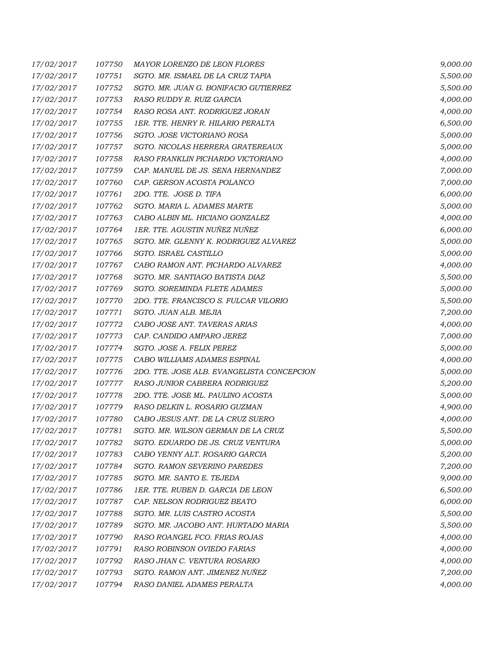| 17/02/2017 | 107750 | MAYOR LORENZO DE LEON FLORES               | 9,000.00 |
|------------|--------|--------------------------------------------|----------|
| 17/02/2017 | 107751 | SGTO. MR. ISMAEL DE LA CRUZ TAPIA          | 5,500.00 |
| 17/02/2017 | 107752 | SGTO. MR. JUAN G. BONIFACIO GUTIERREZ      | 5,500.00 |
| 17/02/2017 | 107753 | RASO RUDDY R. RUIZ GARCIA                  | 4,000.00 |
| 17/02/2017 | 107754 | RASO ROSA ANT. RODRIGUEZ JORAN             | 4,000.00 |
| 17/02/2017 | 107755 | 1ER. TTE. HENRY R. HILARIO PERALTA         | 6,500.00 |
| 17/02/2017 | 107756 | SGTO. JOSE VICTORIANO ROSA                 | 5,000.00 |
| 17/02/2017 | 107757 | SGTO. NICOLAS HERRERA GRATEREAUX           | 5,000.00 |
| 17/02/2017 | 107758 | RASO FRANKLIN PICHARDO VICTORIANO          | 4,000.00 |
| 17/02/2017 | 107759 | CAP. MANUEL DE JS. SENA HERNANDEZ          | 7,000.00 |
| 17/02/2017 | 107760 | CAP. GERSON ACOSTA POLANCO                 | 7,000.00 |
| 17/02/2017 | 107761 | 2DO. TTE. JOSE D. TIFA                     | 6,000.00 |
| 17/02/2017 | 107762 | SGTO. MARIA L. ADAMES MARTE                | 5,000.00 |
| 17/02/2017 | 107763 | CABO ALBIN ML. HICIANO GONZALEZ            | 4,000.00 |
| 17/02/2017 | 107764 | 1ER. TTE. AGUSTIN NUÑEZ NUÑEZ              | 6,000.00 |
| 17/02/2017 | 107765 | SGTO. MR. GLENNY K. RODRIGUEZ ALVAREZ      | 5,000.00 |
| 17/02/2017 | 107766 | SGTO. ISRAEL CASTILLO                      | 5,000.00 |
| 17/02/2017 | 107767 | CABO RAMON ANT. PICHARDO ALVAREZ           | 4,000.00 |
| 17/02/2017 | 107768 | SGTO. MR. SANTIAGO BATISTA DIAZ            | 5,500.00 |
| 17/02/2017 | 107769 | SGTO. SOREMINDA FLETE ADAMES               | 5,000.00 |
| 17/02/2017 | 107770 | 2DO. TTE. FRANCISCO S. FULCAR VILORIO      | 5,500.00 |
| 17/02/2017 | 107771 | SGTO. JUAN ALB. MEJIA                      | 7,200.00 |
| 17/02/2017 | 107772 | CABO JOSE ANT. TAVERAS ARIAS               | 4,000.00 |
| 17/02/2017 | 107773 | CAP. CANDIDO AMPARO JEREZ                  | 7,000.00 |
| 17/02/2017 | 107774 | SGTO. JOSE A. FELIX PEREZ                  | 5,000.00 |
| 17/02/2017 | 107775 | CABO WILLIAMS ADAMES ESPINAL               | 4,000.00 |
| 17/02/2017 | 107776 | 2DO. TTE. JOSE ALB. EVANGELISTA CONCEPCION | 5,000.00 |
| 17/02/2017 | 107777 | RASO JUNIOR CABRERA RODRIGUEZ              | 5,200.00 |
| 17/02/2017 | 107778 | 2DO. TTE. JOSE ML. PAULINO ACOSTA          | 5,000.00 |
| 17/02/2017 | 107779 | RASO DELKIN L. ROSARIO GUZMAN              | 4,900.00 |
| 17/02/2017 | 107780 | CABO JESUS ANT. DE LA CRUZ SUERO           | 4,000.00 |
| 17/02/2017 | 107781 | SGTO. MR. WILSON GERMAN DE LA CRUZ         | 5,500.00 |
| 17/02/2017 | 107782 | SGTO. EDUARDO DE JS. CRUZ VENTURA          | 5,000.00 |
| 17/02/2017 | 107783 | CABO YENNY ALT. ROSARIO GARCIA             | 5,200.00 |
| 17/02/2017 | 107784 | SGTO. RAMON SEVERINO PAREDES               | 7,200.00 |
| 17/02/2017 | 107785 | SGTO. MR. SANTO E. TEJEDA                  | 9,000.00 |
| 17/02/2017 | 107786 | 1ER. TTE. RUBEN D. GARCIA DE LEON          | 6,500.00 |
| 17/02/2017 | 107787 | CAP. NELSON RODRIGUEZ BEATO                | 6,000.00 |
| 17/02/2017 | 107788 | SGTO. MR. LUIS CASTRO ACOSTA               | 5,500.00 |
| 17/02/2017 | 107789 | SGTO. MR. JACOBO ANT. HURTADO MARIA        | 5,500.00 |
| 17/02/2017 | 107790 | RASO ROANGEL FCO. FRIAS ROJAS              | 4,000.00 |
| 17/02/2017 | 107791 | RASO ROBINSON OVIEDO FARIAS                | 4,000.00 |
| 17/02/2017 | 107792 | RASO JHAN C. VENTURA ROSARIO               | 4,000.00 |
| 17/02/2017 | 107793 | SGTO. RAMON ANT. JIMENEZ NUÑEZ             | 7,200.00 |
| 17/02/2017 | 107794 | RASO DANIEL ADAMES PERALTA                 | 4,000.00 |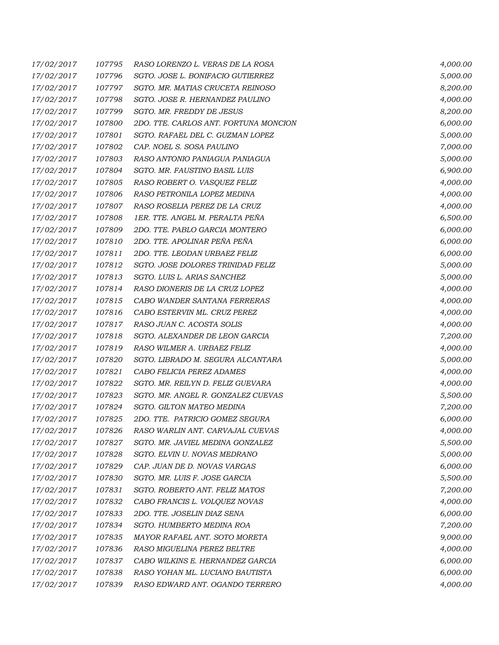| 17/02/2017 | 107795 | RASO LORENZO L. VERAS DE LA ROSA      | 4,000.00 |
|------------|--------|---------------------------------------|----------|
| 17/02/2017 | 107796 | SGTO. JOSE L. BONIFACIO GUTIERREZ     | 5,000.00 |
| 17/02/2017 | 107797 | SGTO. MR. MATIAS CRUCETA REINOSO      | 8,200.00 |
| 17/02/2017 | 107798 | SGTO. JOSE R. HERNANDEZ PAULINO       | 4,000.00 |
| 17/02/2017 | 107799 | SGTO. MR. FREDDY DE JESUS             | 8,200.00 |
| 17/02/2017 | 107800 | 2DO. TTE. CARLOS ANT. FORTUNA MONCION | 6,000.00 |
| 17/02/2017 | 107801 | SGTO. RAFAEL DEL C. GUZMAN LOPEZ      | 5,000.00 |
| 17/02/2017 | 107802 | CAP. NOEL S. SOSA PAULINO             | 7,000.00 |
| 17/02/2017 | 107803 | RASO ANTONIO PANIAGUA PANIAGUA        | 5,000.00 |
| 17/02/2017 | 107804 | SGTO. MR. FAUSTINO BASIL LUIS         | 6,900.00 |
| 17/02/2017 | 107805 | RASO ROBERT O. VASQUEZ FELIZ          | 4,000.00 |
| 17/02/2017 | 107806 | RASO PETRONILA LOPEZ MEDINA           | 4,000.00 |
| 17/02/2017 | 107807 | RASO ROSELIA PEREZ DE LA CRUZ         | 4,000.00 |
| 17/02/2017 | 107808 | 1ER. TTE. ANGEL M. PERALTA PEÑA       | 6,500.00 |
| 17/02/2017 | 107809 | 2DO. TTE. PABLO GARCIA MONTERO        | 6,000.00 |
| 17/02/2017 | 107810 | 2DO. TTE. APOLINAR PEÑA PEÑA          | 6,000.00 |
| 17/02/2017 | 107811 | 2DO. TTE. LEODAN URBAEZ FELIZ         | 6,000.00 |
| 17/02/2017 | 107812 | SGTO. JOSE DOLORES TRINIDAD FELIZ     | 5,000.00 |
| 17/02/2017 | 107813 | SGTO. LUIS L. ARIAS SANCHEZ           | 5,000.00 |
| 17/02/2017 | 107814 | RASO DIONERIS DE LA CRUZ LOPEZ        | 4,000.00 |
| 17/02/2017 | 107815 | CABO WANDER SANTANA FERRERAS          | 4,000.00 |
| 17/02/2017 | 107816 | CABO ESTERVIN ML. CRUZ PEREZ          | 4,000.00 |
| 17/02/2017 | 107817 | RASO JUAN C. ACOSTA SOLIS             | 4,000.00 |
| 17/02/2017 | 107818 | SGTO. ALEXANDER DE LEON GARCIA        | 7,200.00 |
| 17/02/2017 | 107819 | RASO WILMER A. URBAEZ FELIZ           | 4,000.00 |
| 17/02/2017 | 107820 | SGTO. LIBRADO M. SEGURA ALCANTARA     | 5,000.00 |
| 17/02/2017 | 107821 | CABO FELICIA PEREZ ADAMES             | 4,000.00 |
| 17/02/2017 | 107822 | SGTO. MR. REILYN D. FELIZ GUEVARA     | 4,000.00 |
| 17/02/2017 | 107823 | SGTO. MR. ANGEL R. GONZALEZ CUEVAS    | 5,500.00 |
| 17/02/2017 | 107824 | <b>SGTO. GILTON MATEO MEDINA</b>      | 7,200.00 |
| 17/02/2017 | 107825 | 2DO. TTE. PATRICIO GOMEZ SEGURA       | 6,000.00 |
| 17/02/2017 | 107826 | RASO WARLIN ANT. CARVAJAL CUEVAS      | 4,000.00 |
| 17/02/2017 | 107827 | SGTO. MR. JAVIEL MEDINA GONZALEZ      | 5,500.00 |
| 17/02/2017 | 107828 | SGTO. ELVIN U. NOVAS MEDRANO          | 5,000.00 |
| 17/02/2017 | 107829 | CAP. JUAN DE D. NOVAS VARGAS          | 6,000.00 |
| 17/02/2017 | 107830 | SGTO. MR. LUIS F. JOSE GARCIA         | 5,500.00 |
| 17/02/2017 | 107831 | SGTO. ROBERTO ANT. FELIZ MATOS        | 7,200.00 |
| 17/02/2017 | 107832 | CABO FRANCIS L. VOLQUEZ NOVAS         | 4,000.00 |
| 17/02/2017 | 107833 | 2DO. TTE. JOSELIN DIAZ SENA           | 6,000.00 |
| 17/02/2017 | 107834 | SGTO. HUMBERTO MEDINA ROA             | 7,200.00 |
| 17/02/2017 | 107835 | MAYOR RAFAEL ANT. SOTO MORETA         | 9,000.00 |
| 17/02/2017 | 107836 | RASO MIGUELINA PEREZ BELTRE           | 4,000.00 |
| 17/02/2017 | 107837 | CABO WILKINS E. HERNANDEZ GARCIA      | 6,000.00 |
| 17/02/2017 | 107838 | RASO YOHAN ML. LUCIANO BAUTISTA       | 6,000.00 |
| 17/02/2017 | 107839 | RASO EDWARD ANT. OGANDO TERRERO       | 4,000.00 |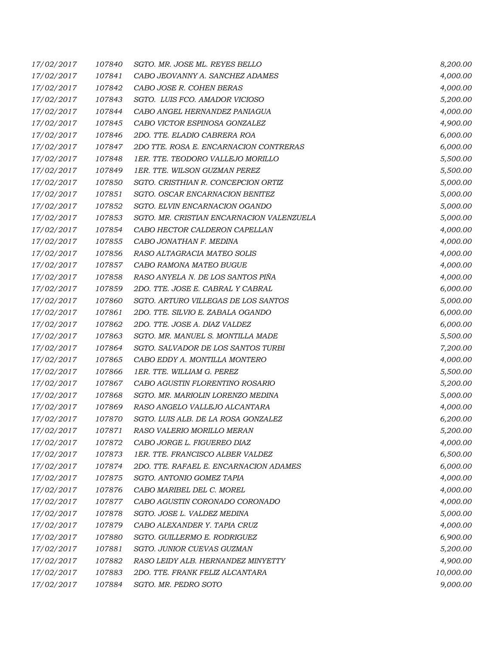| 17/02/2017 | 107840 | SGTO. MR. JOSE ML. REYES BELLO            | 8,200.00  |
|------------|--------|-------------------------------------------|-----------|
| 17/02/2017 | 107841 | CABO JEOVANNY A. SANCHEZ ADAMES           | 4,000.00  |
| 17/02/2017 | 107842 | CABO JOSE R. COHEN BERAS                  | 4,000.00  |
| 17/02/2017 | 107843 | SGTO. LUIS FCO. AMADOR VICIOSO            | 5,200.00  |
| 17/02/2017 | 107844 | CABO ANGEL HERNANDEZ PANIAGUA             | 4,000.00  |
| 17/02/2017 | 107845 | CABO VICTOR ESPINOSA GONZALEZ             | 4,900.00  |
| 17/02/2017 | 107846 | 2DO. TTE. ELADIO CABRERA ROA              | 6,000.00  |
| 17/02/2017 | 107847 | 2DO TTE. ROSA E. ENCARNACION CONTRERAS    | 6,000.00  |
| 17/02/2017 | 107848 | 1ER. TTE. TEODORO VALLEJO MORILLO         | 5,500.00  |
| 17/02/2017 | 107849 | 1ER. TTE. WILSON GUZMAN PEREZ             | 5,500.00  |
| 17/02/2017 | 107850 | SGTO. CRISTHIAN R. CONCEPCION ORTIZ       | 5,000.00  |
| 17/02/2017 | 107851 | SGTO. OSCAR ENCARNACION BENITEZ           | 5,000.00  |
| 17/02/2017 | 107852 | SGTO. ELVIN ENCARNACION OGANDO            | 5,000.00  |
| 17/02/2017 | 107853 | SGTO. MR. CRISTIAN ENCARNACION VALENZUELA | 5,000.00  |
| 17/02/2017 | 107854 | CABO HECTOR CALDERON CAPELLAN             | 4,000.00  |
| 17/02/2017 | 107855 | CABO JONATHAN F. MEDINA                   | 4,000.00  |
| 17/02/2017 | 107856 | RASO ALTAGRACIA MATEO SOLIS               | 4,000.00  |
| 17/02/2017 | 107857 | CABO RAMONA MATEO BUGUE                   | 4,000.00  |
| 17/02/2017 | 107858 | RASO ANYELA N. DE LOS SANTOS PIÑA         | 4,000.00  |
| 17/02/2017 | 107859 | 2DO. TTE. JOSE E. CABRAL Y CABRAL         | 6,000.00  |
| 17/02/2017 | 107860 | SGTO. ARTURO VILLEGAS DE LOS SANTOS       | 5,000.00  |
| 17/02/2017 | 107861 | 2DO. TTE. SILVIO E. ZABALA OGANDO         | 6,000.00  |
| 17/02/2017 | 107862 | 2DO. TTE. JOSE A. DIAZ VALDEZ             | 6,000.00  |
| 17/02/2017 | 107863 | SGTO. MR. MANUEL S. MONTILLA MADE         | 5,500.00  |
| 17/02/2017 | 107864 | SGTO. SALVADOR DE LOS SANTOS TURBI        | 7,200.00  |
| 17/02/2017 | 107865 | CABO EDDY A. MONTILLA MONTERO             | 4,000.00  |
| 17/02/2017 | 107866 | 1ER. TTE. WILLIAM G. PEREZ                | 5,500.00  |
| 17/02/2017 | 107867 | CABO AGUSTIN FLORENTINO ROSARIO           | 5,200.00  |
| 17/02/2017 | 107868 | SGTO. MR. MARIOLIN LORENZO MEDINA         | 5,000.00  |
| 17/02/2017 | 107869 | RASO ANGELO VALLEJO ALCANTARA             | 4,000.00  |
| 17/02/2017 | 107870 | SGTO. LUIS ALB. DE LA ROSA GONZALEZ       | 6,200.00  |
| 17/02/2017 | 107871 | RASO VALERIO MORILLO MERAN                | 5,200.00  |
| 17/02/2017 | 107872 | CABO JORGE L. FIGUEREO DIAZ               | 4,000.00  |
| 17/02/2017 | 107873 | 1ER. TTE. FRANCISCO ALBER VALDEZ          | 6,500.00  |
| 17/02/2017 | 107874 | 2DO. TTE. RAFAEL E. ENCARNACION ADAMES    | 6,000.00  |
| 17/02/2017 | 107875 | SGTO. ANTONIO GOMEZ TAPIA                 | 4,000.00  |
| 17/02/2017 | 107876 | CABO MARIBEL DEL C. MOREL                 | 4,000.00  |
| 17/02/2017 | 107877 | CABO AGUSTIN CORONADO CORONADO            | 4,000.00  |
| 17/02/2017 | 107878 | SGTO. JOSE L. VALDEZ MEDINA               | 5,000.00  |
| 17/02/2017 | 107879 | CABO ALEXANDER Y. TAPIA CRUZ              | 4,000.00  |
| 17/02/2017 | 107880 | SGTO. GUILLERMO E. RODRIGUEZ              | 6,900.00  |
| 17/02/2017 | 107881 | SGTO. JUNIOR CUEVAS GUZMAN                | 5,200.00  |
| 17/02/2017 | 107882 | RASO LEIDY ALB. HERNANDEZ MINYETTY        | 4,900.00  |
| 17/02/2017 | 107883 | 2DO. TTE. FRANK FELIZ ALCANTARA           | 10,000.00 |
| 17/02/2017 | 107884 | SGTO. MR. PEDRO SOTO                      | 9,000.00  |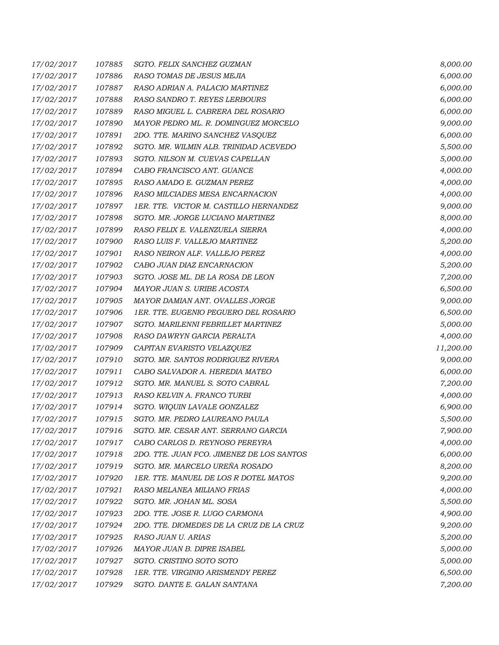| 17/02/2017 | 107885 | SGTO. FELIX SANCHEZ GUZMAN                | 8,000.00  |
|------------|--------|-------------------------------------------|-----------|
| 17/02/2017 | 107886 | RASO TOMAS DE JESUS MEJIA                 | 6,000.00  |
| 17/02/2017 | 107887 | RASO ADRIAN A. PALACIO MARTINEZ           | 6,000.00  |
| 17/02/2017 | 107888 | RASO SANDRO T. REYES LERBOURS             | 6,000.00  |
| 17/02/2017 | 107889 | RASO MIGUEL L. CABRERA DEL ROSARIO        | 6,000.00  |
| 17/02/2017 | 107890 | MAYOR PEDRO ML. R. DOMINGUEZ MORCELO      | 9,000.00  |
| 17/02/2017 | 107891 | 2DO. TTE. MARINO SANCHEZ VASQUEZ          | 6,000.00  |
| 17/02/2017 | 107892 | SGTO. MR. WILMIN ALB. TRINIDAD ACEVEDO    | 5,500.00  |
| 17/02/2017 | 107893 | SGTO. NILSON M. CUEVAS CAPELLAN           | 5,000.00  |
| 17/02/2017 | 107894 | CABO FRANCISCO ANT. GUANCE                | 4,000.00  |
| 17/02/2017 | 107895 | RASO AMADO E. GUZMAN PEREZ                | 4,000.00  |
| 17/02/2017 | 107896 | RASO MILCIADES MESA ENCARNACION           | 4,000.00  |
| 17/02/2017 | 107897 | 1ER. TTE. VICTOR M. CASTILLO HERNANDEZ    | 9,000.00  |
| 17/02/2017 | 107898 | SGTO. MR. JORGE LUCIANO MARTINEZ          | 8,000.00  |
| 17/02/2017 | 107899 | RASO FELIX E. VALENZUELA SIERRA           | 4,000.00  |
| 17/02/2017 | 107900 | RASO LUIS F. VALLEJO MARTINEZ             | 5,200.00  |
| 17/02/2017 | 107901 | RASO NEIRON ALF. VALLEJO PEREZ            | 4,000.00  |
| 17/02/2017 | 107902 | CABO JUAN DIAZ ENCARNACION                | 5,200.00  |
| 17/02/2017 | 107903 | SGTO. JOSE ML. DE LA ROSA DE LEON         | 7,200.00  |
| 17/02/2017 | 107904 | MAYOR JUAN S. URIBE ACOSTA                | 6,500.00  |
| 17/02/2017 | 107905 | MAYOR DAMIAN ANT. OVALLES JORGE           | 9,000.00  |
| 17/02/2017 | 107906 | 1ER. TTE. EUGENIO PEGUERO DEL ROSARIO     | 6,500.00  |
| 17/02/2017 | 107907 | SGTO. MARILENNI FEBRILLET MARTINEZ        | 5,000.00  |
| 17/02/2017 | 107908 | RASO DAWRYN GARCIA PERALTA                | 4,000.00  |
| 17/02/2017 | 107909 | CAPITAN EVARISTO VELAZQUEZ                | 11,200.00 |
| 17/02/2017 | 107910 | SGTO. MR. SANTOS RODRIGUEZ RIVERA         | 9,000.00  |
| 17/02/2017 | 107911 | CABO SALVADOR A. HEREDIA MATEO            | 6,000.00  |
| 17/02/2017 | 107912 | SGTO. MR. MANUEL S. SOTO CABRAL           | 7,200.00  |
| 17/02/2017 | 107913 | RASO KELVIN A. FRANCO TURBI               | 4,000.00  |
| 17/02/2017 | 107914 | SGTO. WIQUIN LAVALE GONZALEZ              | 6,900.00  |
| 17/02/2017 | 107915 | SGTO. MR. PEDRO LAUREANO PAULA            | 5,500.00  |
| 17/02/2017 | 107916 | SGTO. MR. CESAR ANT. SERRANO GARCIA       | 7,900.00  |
| 17/02/2017 | 107917 | CABO CARLOS D. REYNOSO PEREYRA            | 4,000.00  |
| 17/02/2017 | 107918 | 2DO. TTE. JUAN FCO. JIMENEZ DE LOS SANTOS | 6,000.00  |
| 17/02/2017 | 107919 | SGTO. MR. MARCELO UREÑA ROSADO            | 8,200.00  |
| 17/02/2017 | 107920 | 1ER. TTE. MANUEL DE LOS R DOTEL MATOS     | 9,200.00  |
| 17/02/2017 | 107921 | RASO MELANEA MILIANO FRIAS                | 4,000.00  |
| 17/02/2017 | 107922 | SGTO. MR. JOHAN ML. SOSA                  | 5,500.00  |
| 17/02/2017 | 107923 | 2DO. TTE. JOSE R. LUGO CARMONA            | 4,900.00  |
| 17/02/2017 | 107924 | 2DO. TTE. DIOMEDES DE LA CRUZ DE LA CRUZ  | 9,200.00  |
| 17/02/2017 | 107925 | RASO JUAN U. ARIAS                        | 5,200.00  |
| 17/02/2017 | 107926 | MAYOR JUAN B. DIPRE ISABEL                | 5,000.00  |
| 17/02/2017 | 107927 | SGTO. CRISTINO SOTO SOTO                  | 5,000.00  |
| 17/02/2017 | 107928 | 1ER. TTE. VIRGINIO ARISMENDY PEREZ        | 6,500.00  |
| 17/02/2017 | 107929 | SGTO. DANTE E. GALAN SANTANA              | 7,200.00  |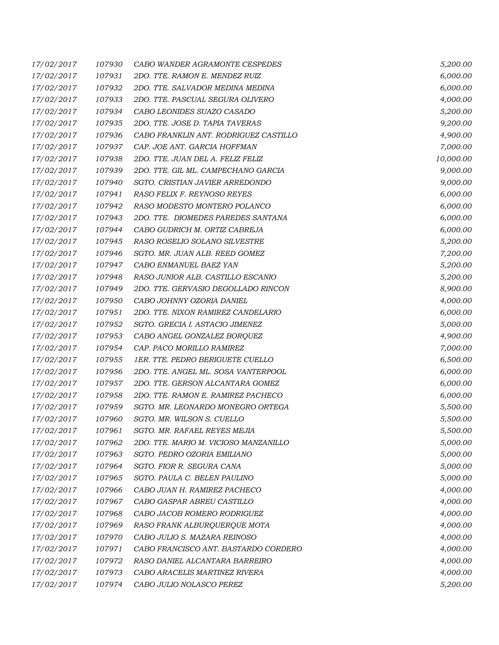| 17/02/2017 | 107930 | CABO WANDER AGRAMONTE CESPEDES        | 5,200.00  |
|------------|--------|---------------------------------------|-----------|
| 17/02/2017 | 107931 | 2DO. TTE. RAMON E. MENDEZ RUIZ        | 6,000.00  |
| 17/02/2017 | 107932 | 2DO. TTE. SALVADOR MEDINA MEDINA      | 6,000.00  |
| 17/02/2017 | 107933 | 2DO. TTE. PASCUAL SEGURA OLIVERO      | 4,000.00  |
| 17/02/2017 | 107934 | CABO LEONIDES SUAZO CASADO            | 5,200.00  |
| 17/02/2017 | 107935 | 2DO. TTE. JOSE D. TAPIA TAVERAS       | 9,200.00  |
| 17/02/2017 | 107936 | CABO FRANKLIN ANT. RODRIGUEZ CASTILLO | 4,900.00  |
| 17/02/2017 | 107937 | CAP. JOE ANT. GARCIA HOFFMAN          | 7,000.00  |
| 17/02/2017 | 107938 | 2DO. TTE. JUAN DEL A. FELIZ FELIZ     | 10,000.00 |
| 17/02/2017 | 107939 | 2DO. TTE. GIL ML. CAMPECHANO GARCIA   | 9,000.00  |
| 17/02/2017 | 107940 | SGTO. CRISTIAN JAVIER ARREDONDO       | 9,000.00  |
| 17/02/2017 | 107941 | RASO FELIX F. REYNOSO REYES           | 6,000.00  |
| 17/02/2017 | 107942 | RASO MODESTO MONTERO POLANCO          | 6,000.00  |
| 17/02/2017 | 107943 | 2DO. TTE. DIOMEDES PAREDES SANTANA    | 6,000.00  |
| 17/02/2017 | 107944 | CABO GUDRICH M. ORTIZ CABREJA         | 6,000.00  |
| 17/02/2017 | 107945 | RASO ROSELIO SOLANO SILVESTRE         | 5,200.00  |
| 17/02/2017 | 107946 | SGTO. MR. JUAN ALB. REED GOMEZ        | 7,200.00  |
| 17/02/2017 | 107947 | CABO ENMANUEL BAEZ YAN                | 5,200.00  |
| 17/02/2017 | 107948 | RASO JUNIOR ALB. CASTILLO ESCANIO     | 5,200.00  |
| 17/02/2017 | 107949 | 2DO. TTE. GERVASIO DEGOLLADO RINCON   | 8,900.00  |
| 17/02/2017 | 107950 | CABO JOHNNY OZORIA DANIEL             | 4,000.00  |
| 17/02/2017 | 107951 | 2DO. TTE. NIXON RAMIREZ CANDELARIO    | 6,000.00  |
| 17/02/2017 | 107952 | SGTO. GRECIA I. ASTACIO JIMENEZ       | 5,000.00  |
| 17/02/2017 | 107953 | CABO ANGEL GONZALEZ BORQUEZ           | 4,900.00  |
| 17/02/2017 | 107954 | CAP. PACO MORILLO RAMIREZ             | 7,000.00  |
| 17/02/2017 | 107955 | 1ER. TTE. PEDRO BERIGUETE CUELLO      | 6,500.00  |
| 17/02/2017 | 107956 | 2DO. TTE. ANGEL ML. SOSA VANTERPOOL   | 6,000.00  |
| 17/02/2017 | 107957 | 2DO. TTE. GERSON ALCANTARA GOMEZ      | 6,000.00  |
| 17/02/2017 | 107958 | 2DO. TTE. RAMON E. RAMIREZ PACHECO    | 6,000.00  |
| 17/02/2017 | 107959 | SGTO. MR. LEONARDO MONEGRO ORTEGA     | 5,500.00  |
| 17/02/2017 | 107960 | SGTO. MR. WILSON S. CUELLO            | 5,500.00  |
| 17/02/2017 | 107961 | SGTO. MR. RAFAEL REYES MEJIA          | 5,500.00  |
| 17/02/2017 | 107962 | 2DO. TTE. MARIO M. VICIOSO MANZANILLO | 5,000.00  |
| 17/02/2017 | 107963 | SGTO. PEDRO OZORIA EMILIANO           | 5,000.00  |
| 17/02/2017 | 107964 | SGTO. FIOR R. SEGURA CANA             | 5,000.00  |
| 17/02/2017 | 107965 | SGTO. PAULA C. BELEN PAULINO          | 5,000.00  |
| 17/02/2017 | 107966 | CABO JUAN H. RAMIREZ PACHECO          | 4,000.00  |
| 17/02/2017 | 107967 | CABO GASPAR ABREU CASTILLO            | 4,000.00  |
| 17/02/2017 | 107968 | CABO JACOB ROMERO RODRIGUEZ           | 4,000.00  |
| 17/02/2017 | 107969 | RASO FRANK ALBURQUERQUE MOTA          | 4,000.00  |
| 17/02/2017 | 107970 | CABO JULIO S. MAZARA REINOSO          | 4,000.00  |
| 17/02/2017 | 107971 | CABO FRANCISCO ANT. BASTARDO CORDERO  | 4,000.00  |
| 17/02/2017 | 107972 | RASO DANIEL ALCANTARA BARREIRO        | 4,000.00  |
| 17/02/2017 | 107973 | CABO ARACELIS MARTINEZ RIVERA         | 4,000.00  |
| 17/02/2017 | 107974 | CABO JULIO NOLASCO PEREZ              | 5,200.00  |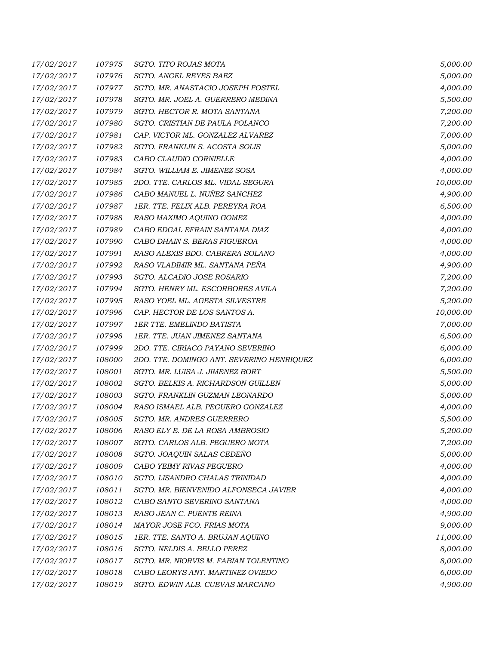| 17/02/2017 | 107975 | SGTO. TITO ROJAS MOTA                     | 5,000.00  |
|------------|--------|-------------------------------------------|-----------|
| 17/02/2017 | 107976 | SGTO. ANGEL REYES BAEZ                    | 5,000.00  |
| 17/02/2017 | 107977 | SGTO. MR. ANASTACIO JOSEPH FOSTEL         | 4,000.00  |
| 17/02/2017 | 107978 | SGTO. MR. JOEL A. GUERRERO MEDINA         | 5,500.00  |
| 17/02/2017 | 107979 | SGTO. HECTOR R. MOTA SANTANA              | 7,200.00  |
| 17/02/2017 | 107980 | SGTO. CRISTIAN DE PAULA POLANCO           | 7,200.00  |
| 17/02/2017 | 107981 | CAP. VICTOR ML. GONZALEZ ALVAREZ          | 7,000.00  |
| 17/02/2017 | 107982 | SGTO. FRANKLIN S. ACOSTA SOLIS            | 5,000.00  |
| 17/02/2017 | 107983 | CABO CLAUDIO CORNIELLE                    | 4,000.00  |
| 17/02/2017 | 107984 | SGTO. WILLIAM E. JIMENEZ SOSA             | 4,000.00  |
| 17/02/2017 | 107985 | 2DO. TTE. CARLOS ML. VIDAL SEGURA         | 10,000.00 |
| 17/02/2017 | 107986 | CABO MANUEL L. NUÑEZ SANCHEZ              | 4,900.00  |
| 17/02/2017 | 107987 | 1ER. TTE. FELIX ALB. PEREYRA ROA          | 6,500.00  |
| 17/02/2017 | 107988 | RASO MAXIMO AQUINO GOMEZ                  | 4,000.00  |
| 17/02/2017 | 107989 | CABO EDGAL EFRAIN SANTANA DIAZ            | 4,000.00  |
| 17/02/2017 | 107990 | CABO DHAIN S. BERAS FIGUEROA              | 4,000.00  |
| 17/02/2017 | 107991 | RASO ALEXIS BDO. CABRERA SOLANO           | 4,000.00  |
| 17/02/2017 | 107992 | RASO VLADIMIR ML. SANTANA PEÑA            | 4,900.00  |
| 17/02/2017 | 107993 | SGTO. ALCADIO JOSE ROSARIO                | 7,200.00  |
| 17/02/2017 | 107994 | SGTO. HENRY ML. ESCORBORES AVILA          | 7,200.00  |
| 17/02/2017 | 107995 | RASO YOEL ML. AGESTA SILVESTRE            | 5,200.00  |
| 17/02/2017 | 107996 | CAP. HECTOR DE LOS SANTOS A.              | 10,000.00 |
| 17/02/2017 | 107997 | <b>1ER TTE, EMELINDO BATISTA</b>          | 7,000.00  |
| 17/02/2017 | 107998 | 1ER. TTE. JUAN JIMENEZ SANTANA            | 6,500.00  |
| 17/02/2017 | 107999 | 2DO. TTE. CIRIACO PAYANO SEVERINO         | 6,000.00  |
| 17/02/2017 | 108000 | 2DO. TTE. DOMINGO ANT. SEVERINO HENRIQUEZ | 6,000.00  |
| 17/02/2017 | 108001 | SGTO. MR. LUISA J. JIMENEZ BORT           | 5,500.00  |
| 17/02/2017 | 108002 | SGTO. BELKIS A. RICHARDSON GUILLEN        | 5,000.00  |
| 17/02/2017 | 108003 | SGTO. FRANKLIN GUZMAN LEONARDO            | 5,000.00  |
| 17/02/2017 | 108004 | RASO ISMAEL ALB. PEGUERO GONZALEZ         | 4,000.00  |
| 17/02/2017 | 108005 | SGTO. MR. ANDRES GUERRERO                 | 5,500.00  |
| 17/02/2017 | 108006 | RASO ELY E. DE LA ROSA AMBROSIO           | 5,200.00  |
| 17/02/2017 | 108007 | SGTO. CARLOS ALB. PEGUERO MOTA            | 7,200.00  |
| 17/02/2017 | 108008 | SGTO. JOAQUIN SALAS CEDEÑO                | 5,000.00  |
| 17/02/2017 | 108009 | CABO YEIMY RIVAS PEGUERO                  | 4,000.00  |
| 17/02/2017 | 108010 | SGTO. LISANDRO CHALAS TRINIDAD            | 4,000.00  |
| 17/02/2017 | 108011 | SGTO. MR. BIENVENIDO ALFONSECA JAVIER     | 4,000.00  |
| 17/02/2017 | 108012 | CABO SANTO SEVERINO SANTANA               | 4,000.00  |
| 17/02/2017 | 108013 | RASO JEAN C. PUENTE REINA                 | 4,900.00  |
| 17/02/2017 | 108014 | MAYOR JOSE FCO. FRIAS MOTA                | 9,000.00  |
| 17/02/2017 | 108015 | 1ER. TTE. SANTO A. BRUJAN AQUINO          | 11,000.00 |
| 17/02/2017 | 108016 | SGTO. NELDIS A. BELLO PEREZ               | 8,000.00  |
| 17/02/2017 | 108017 | SGTO. MR. NIORVIS M. FABIAN TOLENTINO     | 8,000.00  |
| 17/02/2017 | 108018 | CABO LEORYS ANT. MARTINEZ OVIEDO          | 6,000.00  |
| 17/02/2017 | 108019 | SGTO. EDWIN ALB. CUEVAS MARCANO           | 4,900.00  |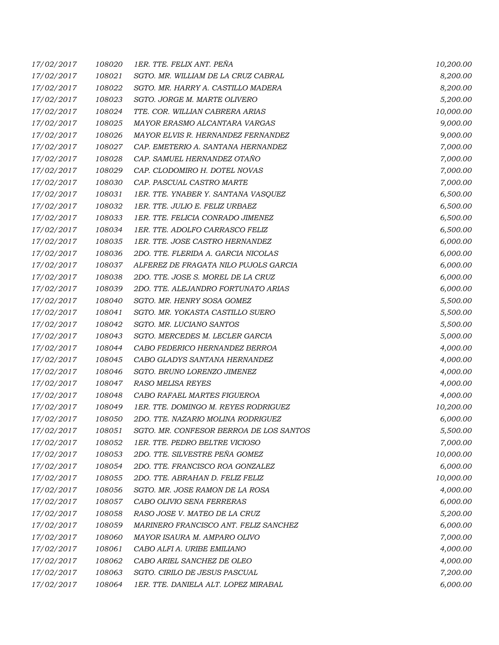| 17/02/2017 | 108020 | 1ER. TTE. FELIX ANT. PEÑA               | 10,200.00 |
|------------|--------|-----------------------------------------|-----------|
| 17/02/2017 | 108021 | SGTO. MR. WILLIAM DE LA CRUZ CABRAL     | 8,200.00  |
| 17/02/2017 | 108022 | SGTO. MR. HARRY A. CASTILLO MADERA      | 8,200.00  |
| 17/02/2017 | 108023 | SGTO. JORGE M. MARTE OLIVERO            | 5,200.00  |
| 17/02/2017 | 108024 | TTE. COR. WILLIAN CABRERA ARIAS         | 10,000.00 |
| 17/02/2017 | 108025 | MAYOR ERASMO ALCANTARA VARGAS           | 9,000.00  |
| 17/02/2017 | 108026 | MAYOR ELVIS R. HERNANDEZ FERNANDEZ      | 9,000.00  |
| 17/02/2017 | 108027 | CAP. EMETERIO A. SANTANA HERNANDEZ      | 7,000.00  |
| 17/02/2017 | 108028 | CAP. SAMUEL HERNANDEZ OTAÑO             | 7,000.00  |
| 17/02/2017 | 108029 | CAP. CLODOMIRO H. DOTEL NOVAS           | 7,000.00  |
| 17/02/2017 | 108030 | CAP. PASCUAL CASTRO MARTE               | 7,000.00  |
| 17/02/2017 | 108031 | 1ER. TTE. YNABER Y. SANTANA VASQUEZ     | 6,500.00  |
| 17/02/2017 | 108032 | 1ER. TTE. JULIO E. FELIZ URBAEZ         | 6,500.00  |
| 17/02/2017 | 108033 | 1ER. TTE. FELICIA CONRADO JIMENEZ       | 6,500.00  |
| 17/02/2017 | 108034 | 1ER. TTE. ADOLFO CARRASCO FELIZ         | 6,500.00  |
| 17/02/2017 | 108035 | 1ER. TTE. JOSE CASTRO HERNANDEZ         | 6,000.00  |
| 17/02/2017 | 108036 | 2DO. TTE. FLERIDA A. GARCIA NICOLAS     | 6,000.00  |
| 17/02/2017 | 108037 | ALFEREZ DE FRAGATA NILO PUJOLS GARCIA   | 6,000.00  |
| 17/02/2017 | 108038 | 2DO. TTE. JOSE S. MOREL DE LA CRUZ      | 6,000.00  |
| 17/02/2017 | 108039 | 2DO. TTE. ALEJANDRO FORTUNATO ARIAS     | 6,000.00  |
| 17/02/2017 | 108040 | SGTO. MR. HENRY SOSA GOMEZ              | 5,500.00  |
| 17/02/2017 | 108041 | SGTO. MR. YOKASTA CASTILLO SUERO        | 5,500.00  |
| 17/02/2017 | 108042 | SGTO. MR. LUCIANO SANTOS                | 5,500.00  |
| 17/02/2017 | 108043 | SGTO. MERCEDES M. LECLER GARCIA         | 5,000.00  |
| 17/02/2017 | 108044 | CABO FEDERICO HERNANDEZ BERROA          | 4,000.00  |
| 17/02/2017 | 108045 | CABO GLADYS SANTANA HERNANDEZ           | 4,000.00  |
| 17/02/2017 | 108046 | SGTO. BRUNO LORENZO JIMENEZ             | 4,000.00  |
| 17/02/2017 | 108047 | RASO MELISA REYES                       | 4,000.00  |
| 17/02/2017 | 108048 | CABO RAFAEL MARTES FIGUEROA             | 4,000.00  |
| 17/02/2017 | 108049 | 1ER. TTE. DOMINGO M. REYES RODRIGUEZ    | 10,200.00 |
| 17/02/2017 | 108050 | 2DO. TTE. NAZARIO MOLINA RODRIGUEZ      | 6,000.00  |
| 17/02/2017 | 108051 | SGTO. MR. CONFESOR BERROA DE LOS SANTOS | 5,500.00  |
| 17/02/2017 | 108052 | 1ER. TTE. PEDRO BELTRE VICIOSO          | 7,000.00  |
| 17/02/2017 | 108053 | 2DO. TTE. SILVESTRE PEÑA GOMEZ          | 10,000.00 |
| 17/02/2017 | 108054 | 2DO. TTE. FRANCISCO ROA GONZALEZ        | 6,000.00  |
| 17/02/2017 | 108055 | 2DO. TTE. ABRAHAN D. FELIZ FELIZ        | 10,000.00 |
| 17/02/2017 | 108056 | SGTO. MR. JOSE RAMON DE LA ROSA         | 4,000.00  |
| 17/02/2017 | 108057 | CABO OLIVIO SENA FERRERAS               | 6,000.00  |
| 17/02/2017 | 108058 | RASO JOSE V. MATEO DE LA CRUZ           | 5,200.00  |
| 17/02/2017 | 108059 | MARINERO FRANCISCO ANT. FELIZ SANCHEZ   | 6,000.00  |
| 17/02/2017 | 108060 | MAYOR ISAURA M. AMPARO OLIVO            | 7,000.00  |
| 17/02/2017 | 108061 | CABO ALFI A. URIBE EMILIANO             | 4,000.00  |
| 17/02/2017 | 108062 | CABO ARIEL SANCHEZ DE OLEO              | 4,000.00  |
| 17/02/2017 | 108063 | SGTO. CIRILO DE JESUS PASCUAL           | 7,200.00  |
| 17/02/2017 | 108064 | 1ER. TTE. DANIELA ALT. LOPEZ MIRABAL    | 6,000.00  |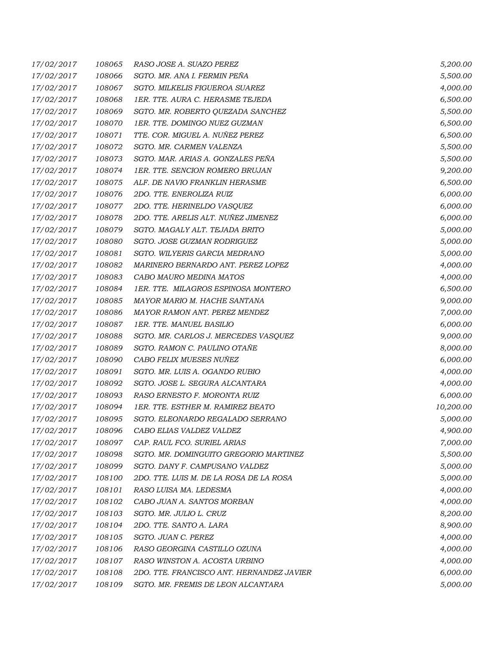| 17/02/2017 | 108065 | RASO JOSE A. SUAZO PEREZ                  | 5,200.00  |
|------------|--------|-------------------------------------------|-----------|
| 17/02/2017 | 108066 | SGTO. MR. ANA I. FERMIN PEÑA              | 5,500.00  |
| 17/02/2017 | 108067 | SGTO. MILKELIS FIGUEROA SUAREZ            | 4,000.00  |
| 17/02/2017 | 108068 | 1ER. TTE. AURA C. HERASME TEJEDA          | 6,500.00  |
| 17/02/2017 | 108069 | SGTO. MR. ROBERTO QUEZADA SANCHEZ         | 5,500.00  |
| 17/02/2017 | 108070 | 1ER. TTE. DOMINGO NUEZ GUZMAN             | 6,500.00  |
| 17/02/2017 | 108071 | TTE. COR. MIGUEL A. NUÑEZ PEREZ           | 6,500.00  |
| 17/02/2017 | 108072 | SGTO. MR. CARMEN VALENZA                  | 5,500.00  |
| 17/02/2017 | 108073 | SGTO. MAR. ARIAS A. GONZALES PEÑA         | 5,500.00  |
| 17/02/2017 | 108074 | 1ER. TTE. SENCION ROMERO BRUJAN           | 9,200.00  |
| 17/02/2017 | 108075 | ALF. DE NAVIO FRANKLIN HERASME            | 6,500.00  |
| 17/02/2017 | 108076 | 2DO. TTE. ENEROLIZA RUIZ                  | 6,000.00  |
| 17/02/2017 | 108077 | 2DO. TTE. HERINELDO VASQUEZ               | 6,000.00  |
| 17/02/2017 | 108078 | 2DO. TTE. ARELIS ALT. NUÑEZ JIMENEZ       | 6,000.00  |
| 17/02/2017 | 108079 | SGTO. MAGALY ALT. TEJADA BRITO            | 5,000.00  |
| 17/02/2017 | 108080 | SGTO. JOSE GUZMAN RODRIGUEZ               | 5,000.00  |
| 17/02/2017 | 108081 | SGTO. WILYERIS GARCIA MEDRANO             | 5,000.00  |
| 17/02/2017 | 108082 | MARINERO BERNARDO ANT. PEREZ LOPEZ        | 4,000.00  |
| 17/02/2017 | 108083 | CABO MAURO MEDINA MATOS                   | 4,000.00  |
| 17/02/2017 | 108084 | 1ER. TTE. MILAGROS ESPINOSA MONTERO       | 6,500.00  |
| 17/02/2017 | 108085 | MAYOR MARIO M. HACHE SANTANA              | 9,000.00  |
| 17/02/2017 | 108086 | MAYOR RAMON ANT. PEREZ MENDEZ             | 7,000.00  |
| 17/02/2017 | 108087 | 1ER. TTE. MANUEL BASILIO                  | 6,000.00  |
| 17/02/2017 | 108088 | SGTO. MR. CARLOS J. MERCEDES VASQUEZ      | 9,000.00  |
| 17/02/2017 | 108089 | SGTO. RAMON C. PAULINO OTAÑE              | 8,000.00  |
| 17/02/2017 | 108090 | CABO FELIX MUESES NUÑEZ                   | 6,000.00  |
| 17/02/2017 | 108091 | SGTO. MR. LUIS A. OGANDO RUBIO            | 4,000.00  |
| 17/02/2017 | 108092 | SGTO. JOSE L. SEGURA ALCANTARA            | 4,000.00  |
| 17/02/2017 | 108093 | RASO ERNESTO F. MORONTA RUIZ              | 6,000.00  |
| 17/02/2017 | 108094 | 1ER. TTE. ESTHER M. RAMIREZ BEATO         | 10,200.00 |
| 17/02/2017 | 108095 | SGTO. ELEONARDO REGALADO SERRANO          | 5,000.00  |
| 17/02/2017 | 108096 | CABO ELIAS VALDEZ VALDEZ                  | 4,900.00  |
| 17/02/2017 | 108097 | CAP. RAUL FCO. SURIEL ARIAS               | 7,000.00  |
| 17/02/2017 | 108098 | SGTO. MR. DOMINGUITO GREGORIO MARTINEZ    | 5,500.00  |
| 17/02/2017 | 108099 | SGTO. DANY F. CAMPUSANO VALDEZ            | 5,000.00  |
| 17/02/2017 | 108100 | 2DO. TTE. LUIS M. DE LA ROSA DE LA ROSA   | 5,000.00  |
| 17/02/2017 | 108101 | RASO LUISA MA. LEDESMA                    | 4,000.00  |
| 17/02/2017 | 108102 | CABO JUAN A. SANTOS MORBAN                | 4,000.00  |
| 17/02/2017 | 108103 | SGTO. MR. JULIO L. CRUZ                   | 8,200.00  |
| 17/02/2017 | 108104 | 2DO. TTE. SANTO A. LARA                   | 8,900.00  |
| 17/02/2017 | 108105 | SGTO. JUAN C. PEREZ                       | 4,000.00  |
| 17/02/2017 | 108106 | RASO GEORGINA CASTILLO OZUNA              | 4,000.00  |
| 17/02/2017 | 108107 | RASO WINSTON A. ACOSTA URBINO             | 4,000.00  |
| 17/02/2017 | 108108 | 2DO. TTE. FRANCISCO ANT. HERNANDEZ JAVIER | 6,000.00  |
| 17/02/2017 | 108109 | SGTO. MR. FREMIS DE LEON ALCANTARA        | 5,000.00  |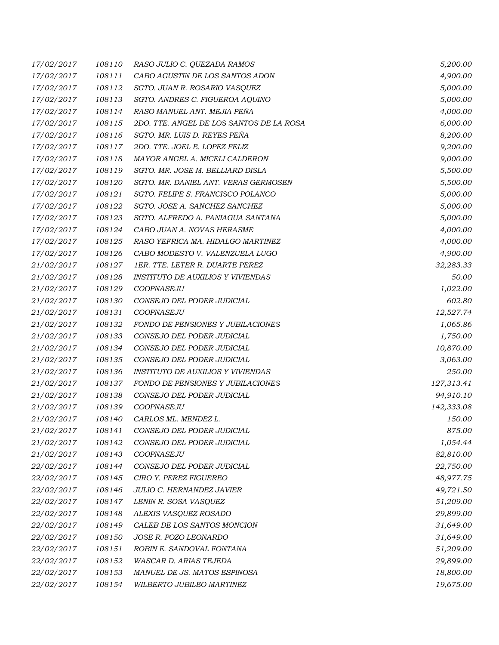| 17/02/2017 | 108110 | RASO JULIO C. QUEZADA RAMOS              | 5,200.00   |
|------------|--------|------------------------------------------|------------|
| 17/02/2017 | 108111 | CABO AGUSTIN DE LOS SANTOS ADON          | 4,900.00   |
| 17/02/2017 | 108112 | SGTO. JUAN R. ROSARIO VASQUEZ            | 5,000.00   |
| 17/02/2017 | 108113 | SGTO. ANDRES C. FIGUEROA AQUINO          | 5,000.00   |
| 17/02/2017 | 108114 | RASO MANUEL ANT. MEJIA PEÑA              | 4,000.00   |
| 17/02/2017 | 108115 | 2DO. TTE. ANGEL DE LOS SANTOS DE LA ROSA | 6,000.00   |
| 17/02/2017 | 108116 | SGTO. MR. LUIS D. REYES PEÑA             | 8,200.00   |
| 17/02/2017 | 108117 | 2DO. TTE. JOEL E. LOPEZ FELIZ            | 9,200.00   |
| 17/02/2017 | 108118 | MAYOR ANGEL A. MICELI CALDERON           | 9,000.00   |
| 17/02/2017 | 108119 | SGTO. MR. JOSE M. BELLIARD DISLA         | 5,500.00   |
| 17/02/2017 | 108120 | SGTO. MR. DANIEL ANT. VERAS GERMOSEN     | 5,500.00   |
| 17/02/2017 | 108121 | SGTO. FELIPE S. FRANCISCO POLANCO        | 5,000.00   |
| 17/02/2017 | 108122 | SGTO. JOSE A. SANCHEZ SANCHEZ            | 5,000.00   |
| 17/02/2017 | 108123 | SGTO. ALFREDO A. PANIAGUA SANTANA        | 5,000.00   |
| 17/02/2017 | 108124 | CABO JUAN A. NOVAS HERASME               | 4,000.00   |
| 17/02/2017 | 108125 | RASO YEFRICA MA. HIDALGO MARTINEZ        | 4,000.00   |
| 17/02/2017 | 108126 | CABO MODESTO V. VALENZUELA LUGO          | 4,900.00   |
| 21/02/2017 | 108127 | 1ER. TTE. LETER R. DUARTE PEREZ          | 32,283.33  |
| 21/02/2017 | 108128 | <b>INSTITUTO DE AUXILIOS Y VIVIENDAS</b> | 50.00      |
| 21/02/2017 | 108129 | COOPNASEJU                               | 1,022.00   |
| 21/02/2017 | 108130 | CONSEJO DEL PODER JUDICIAL               | 602.80     |
| 21/02/2017 | 108131 | COOPNASEJU                               | 12,527.74  |
| 21/02/2017 | 108132 | FONDO DE PENSIONES Y JUBILACIONES        | 1,065.86   |
| 21/02/2017 | 108133 | CONSEJO DEL PODER JUDICIAL               | 1,750.00   |
| 21/02/2017 | 108134 | CONSEJO DEL PODER JUDICIAL               | 10,870.00  |
| 21/02/2017 | 108135 | CONSEJO DEL PODER JUDICIAL               | 3,063.00   |
| 21/02/2017 | 108136 | <b>INSTITUTO DE AUXILIOS Y VIVIENDAS</b> | 250.00     |
| 21/02/2017 | 108137 | FONDO DE PENSIONES Y JUBILACIONES        | 127,313.41 |
| 21/02/2017 | 108138 | CONSEJO DEL PODER JUDICIAL               | 94,910.10  |
| 21/02/2017 | 108139 | COOPNASEJU                               | 142,333.08 |
| 21/02/2017 | 108140 | CARLOS ML. MENDEZ L.                     | 150.00     |
| 21/02/2017 | 108141 | CONSEJO DEL PODER JUDICIAL               | 875.00     |
| 21/02/2017 | 108142 | CONSEJO DEL PODER JUDICIAL               | 1,054.44   |
| 21/02/2017 | 108143 | COOPNASEJU                               | 82,810.00  |
| 22/02/2017 | 108144 | CONSEJO DEL PODER JUDICIAL               | 22,750.00  |
| 22/02/2017 | 108145 | CIRO Y. PEREZ FIGUEREO                   | 48,977.75  |
| 22/02/2017 | 108146 | <b>JULIO C. HERNANDEZ JAVIER</b>         | 49,721.50  |
| 22/02/2017 | 108147 | LENIN R. SOSA VASQUEZ                    | 51,209.00  |
| 22/02/2017 | 108148 | ALEXIS VASQUEZ ROSADO                    | 29,899.00  |
| 22/02/2017 | 108149 | CALEB DE LOS SANTOS MONCION              | 31,649.00  |
| 22/02/2017 | 108150 | JOSE R. POZO LEONARDO                    | 31,649.00  |
| 22/02/2017 | 108151 | ROBIN E. SANDOVAL FONTANA                | 51,209.00  |
| 22/02/2017 | 108152 | WASCAR D. ARIAS TEJEDA                   | 29,899.00  |
| 22/02/2017 | 108153 | MANUEL DE JS. MATOS ESPINOSA             | 18,800.00  |
| 22/02/2017 | 108154 | WILBERTO JUBILEO MARTINEZ                | 19,675.00  |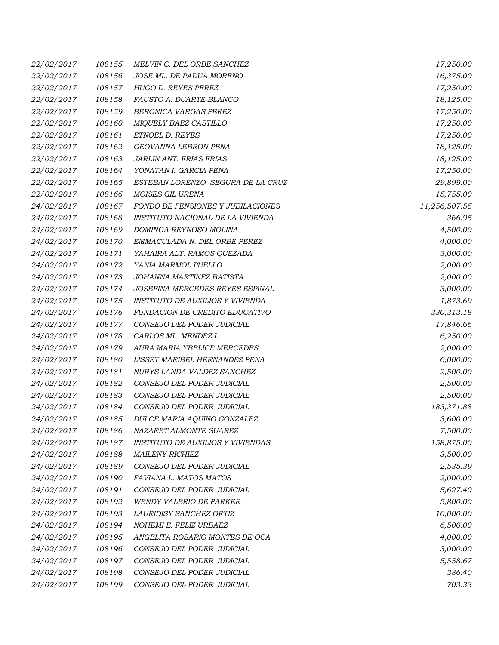| 22/02/2017        | 108155 | MELVIN C. DEL ORBE SANCHEZ               | 17,250.00     |
|-------------------|--------|------------------------------------------|---------------|
| 22/02/2017        | 108156 | JOSE ML. DE PADUA MORENO                 | 16,375.00     |
| <i>22/02/2017</i> | 108157 | HUGO D. REYES PEREZ                      | 17,250.00     |
| 22/02/2017        | 108158 | FAUSTO A. DUARTE BLANCO                  | 18,125.00     |
| 22/02/2017        | 108159 | BERONICA VARGAS PEREZ                    | 17,250.00     |
| 22/02/2017        | 108160 | MIQUELY BAEZ CASTILLO                    | 17,250.00     |
| 22/02/2017        | 108161 | ETNOEL D. REYES                          | 17,250.00     |
| 22/02/2017        | 108162 | GEOVANNA LEBRON PENA                     | 18,125.00     |
| 22/02/2017        | 108163 | JARLIN ANT. FRIAS FRIAS                  | 18,125.00     |
| 22/02/2017        | 108164 | YONATAN I. GARCIA PENA                   | 17,250.00     |
| 22/02/2017        | 108165 | ESTEBAN LORENZO SEGURA DE LA CRUZ        | 29,899.00     |
| 22/02/2017        | 108166 | MOISES GIL URENA                         | 15,755.00     |
| 24/02/2017        | 108167 | FONDO DE PENSIONES Y JUBILACIONES        | 11,256,507.55 |
| 24/02/2017        | 108168 | INSTITUTO NACIONAL DE LA VIVIENDA        | 366.95        |
| 24/02/2017        | 108169 | DOMINGA REYNOSO MOLINA                   | 4,500.00      |
| 24/02/2017        | 108170 | EMMACULADA N. DEL ORBE PEREZ             | 4,000.00      |
| <i>24/02/2017</i> | 108171 | YAHAIRA ALT. RAMOS QUEZADA               | 3,000.00      |
| 24/02/2017        | 108172 | YANIA MARMOL PUELLO                      | 2,000.00      |
| 24/02/2017        | 108173 | JOHANNA MARTINEZ BATISTA                 | 2,000.00      |
| 24/02/2017        | 108174 | JOSEFINA MERCEDES REYES ESPINAL          | 3,000.00      |
| 24/02/2017        | 108175 | INSTITUTO DE AUXILIOS Y VIVIENDA         | 1,873.69      |
| 24/02/2017        | 108176 | FUNDACION DE CREDITO EDUCATIVO           | 330,313.18    |
| 24/02/2017        | 108177 | CONSEJO DEL PODER JUDICIAL               | 17,846.66     |
| <i>24/02/2017</i> | 108178 | CARLOS ML. MENDEZ L.                     | 6,250.00      |
| 24/02/2017        | 108179 | AURA MARIA YBELICE MERCEDES              | 2,000.00      |
| 24/02/2017        | 108180 | LISSET MARIBEL HERNANDEZ PENA            | 6,000.00      |
| <i>24/02/2017</i> | 108181 | NURYS LANDA VALDEZ SANCHEZ               | 2,500.00      |
| 24/02/2017        | 108182 | CONSEJO DEL PODER JUDICIAL               | 2,500.00      |
| 24/02/2017        | 108183 | CONSEJO DEL PODER JUDICIAL               | 2,500.00      |
| 24/02/2017        | 108184 | CONSEJO DEL PODER JUDICIAL               | 183,371.88    |
| 24/02/2017        | 108185 | DULCE MARIA AQUINO GONZALEZ              | 3,600.00      |
| 24/02/2017        | 108186 | NAZARET ALMONTE SUAREZ                   | 7,500.00      |
| 24/02/2017        | 108187 | <b>INSTITUTO DE AUXILIOS Y VIVIENDAS</b> | 158,875.00    |
| 24/02/2017        | 108188 | <i>MAILENY RICHIEZ</i>                   | 3,500.00      |
| 24/02/2017        | 108189 | CONSEJO DEL PODER JUDICIAL               | 2,535.39      |
| 24/02/2017        | 108190 | FAVIANA L. MATOS MATOS                   | 2,000.00      |
| 24/02/2017        | 108191 | CONSEJO DEL PODER JUDICIAL               | 5,627.40      |
| 24/02/2017        | 108192 | <b>WENDY VALERIO DE PARKER</b>           | 5,800.00      |
| 24/02/2017        | 108193 | LAURIDISY SANCHEZ ORTIZ                  | 10,000.00     |
| 24/02/2017        | 108194 | NOHEMI E. FELIZ URBAEZ                   | 6,500.00      |
| 24/02/2017        | 108195 | ANGELITA ROSARIO MONTES DE OCA           | 4,000.00      |
| 24/02/2017        | 108196 | CONSEJO DEL PODER JUDICIAL               | 3,000.00      |
| 24/02/2017        | 108197 | CONSEJO DEL PODER JUDICIAL               | 5,558.67      |
| 24/02/2017        | 108198 | CONSEJO DEL PODER JUDICIAL               | 386.40        |
| 24/02/2017        | 108199 | CONSEJO DEL PODER JUDICIAL               | 703.33        |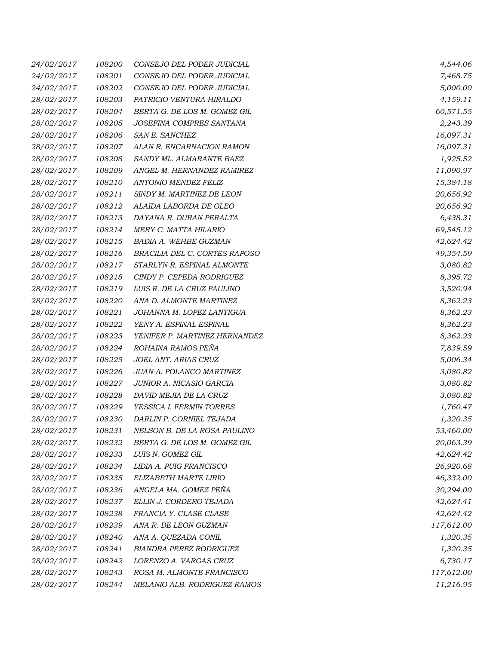| 24/02/2017        | 108200 | CONSEJO DEL PODER JUDICIAL     | 4,544.06   |
|-------------------|--------|--------------------------------|------------|
| 24/02/2017        | 108201 | CONSEJO DEL PODER JUDICIAL     | 7,468.75   |
| 24/02/2017        | 108202 | CONSEJO DEL PODER JUDICIAL     | 5,000.00   |
| 28/02/2017        | 108203 | PATRICIO VENTURA HIRALDO       | 4,159.11   |
| 28/02/2017        | 108204 | BERTA G. DE LOS M. GOMEZ GIL   | 60,571.55  |
| 28/02/2017        | 108205 | JOSEFINA COMPRES SANTANA       | 2,243.39   |
| 28/02/2017        | 108206 | SAN E. SANCHEZ                 | 16,097.31  |
| 28/02/2017        | 108207 | ALAN R. ENCARNACION RAMON      | 16,097.31  |
| 28/02/2017        | 108208 | SANDY ML. ALMARANTE BAEZ       | 1,925.52   |
| 28/02/2017        | 108209 | ANGEL M. HERNANDEZ RAMIREZ     | 11,090.97  |
| 28/02/2017        | 108210 | ANTONIO MENDEZ FELIZ           | 15,384.18  |
| 28/02/2017        | 108211 | SINDY M. MARTINEZ DE LEON      | 20,656.92  |
| 28/02/2017        | 108212 | ALAIDA LABORDA DE OLEO         | 20,656.92  |
| 28/02/2017        | 108213 | DAYANA R. DURAN PERALTA        | 6,438.31   |
| 28/02/2017        | 108214 | MERY C. MATTA HILARIO          | 69,545.12  |
| 28/02/2017        | 108215 | BADIA A. WEHBE GUZMAN          | 42,624.42  |
| <i>28/02/2017</i> | 108216 | BRACILIA DEL C. CORTES RAPOSO  | 49,354.59  |
| 28/02/2017        | 108217 | STARLYN R. ESPINAL ALMONTE     | 3,080.82   |
| 28/02/2017        | 108218 | CINDY P. CEPEDA RODRIGUEZ      | 8,395.72   |
| 28/02/2017        | 108219 | LUIS R. DE LA CRUZ PAULINO     | 3,520.94   |
| 28/02/2017        | 108220 | ANA D. ALMONTE MARTINEZ        | 8,362.23   |
| 28/02/2017        | 108221 | JOHANNA M. LOPEZ LANTIGUA      | 8,362.23   |
| 28/02/2017        | 108222 | YENY A. ESPINAL ESPINAL        | 8,362.23   |
| <i>28/02/2017</i> | 108223 | YENIFER P. MARTINEZ HERNANDEZ  | 8,362.23   |
| 28/02/2017        | 108224 | ROHAINA RAMOS PEÑA             | 7,839.59   |
| 28/02/2017        | 108225 | JOEL ANT. ARIAS CRUZ           | 5,006.34   |
| 28/02/2017        | 108226 | JUAN A. POLANCO MARTINEZ       | 3,080.82   |
| 28/02/2017        | 108227 | JUNIOR A. NICASIO GARCIA       | 3,080.82   |
| 28/02/2017        | 108228 | DAVID MEJIA DE LA CRUZ         | 3,080.82   |
| 28/02/2017        | 108229 | YESSICA I. FERMIN TORRES       | 1,760.47   |
| 28/02/2017        | 108230 | DARLIN P. CORNIEL TEJADA       | 1,320.35   |
| 28/02/2017        | 108231 | NELSON B. DE LA ROSA PAULINO   | 53,460.00  |
| 28/02/2017        | 108232 | BERTA G. DE LOS M. GOMEZ GIL   | 20,063.39  |
| 28/02/2017        | 108233 | LUIS N. GOMEZ GIL              | 42,624.42  |
| 28/02/2017        | 108234 | LIDIA A. PUIG FRANCISCO        | 26,920.68  |
| 28/02/2017        | 108235 | ELIZABETH MARTE LIRIO          | 46,332.00  |
| 28/02/2017        | 108236 | ANGELA MA. GOMEZ PEÑA          | 30,294.00  |
| 28/02/2017        | 108237 | ELLIN J. CORDERO TEJADA        | 42,624.41  |
| 28/02/2017        | 108238 | FRANCIA Y. CLASE CLASE         | 42,624.42  |
| 28/02/2017        | 108239 | ANA R. DE LEON GUZMAN          | 117,612.00 |
| 28/02/2017        | 108240 | ANA A. QUEZADA CONIL           | 1,320.35   |
| 28/02/2017        | 108241 | <b>BIANDRA PEREZ RODRIGUEZ</b> | 1,320.35   |
| 28/02/2017        | 108242 | LORENZO A. VARGAS CRUZ         | 6,730.17   |
| 28/02/2017        | 108243 | ROSA M. ALMONTE FRANCISCO      | 117,612.00 |
| 28/02/2017        | 108244 | MELANIO ALB. RODRIGUEZ RAMOS   | 11,216.95  |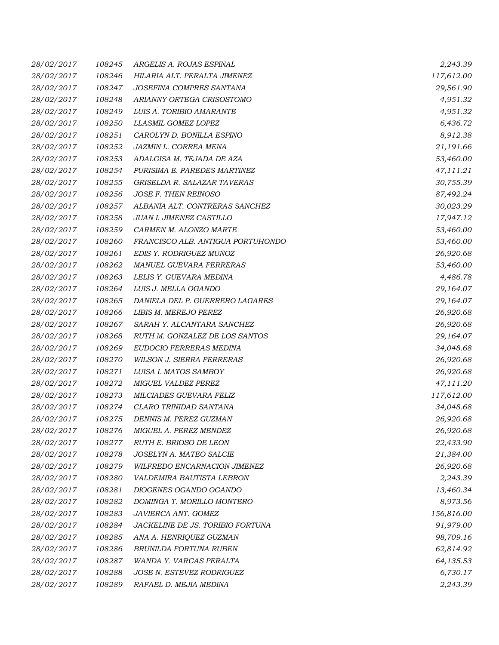| 28/02/2017        | 108245 | ARGELIS A. ROJAS ESPINAL          | 2,243.39   |
|-------------------|--------|-----------------------------------|------------|
| 28/02/2017        | 108246 | HILARIA ALT. PERALTA JIMENEZ      | 117,612.00 |
| 28/02/2017        | 108247 | JOSEFINA COMPRES SANTANA          | 29,561.90  |
| 28/02/2017        | 108248 | ARIANNY ORTEGA CRISOSTOMO         | 4,951.32   |
| <i>28/02/2017</i> | 108249 | LUIS A. TORIBIO AMARANTE          | 4,951.32   |
| 28/02/2017        | 108250 | LLASMIL GOMEZ LOPEZ               | 6,436.72   |
| 28/02/2017        | 108251 | CAROLYN D. BONILLA ESPINO         | 8,912.38   |
| 28/02/2017        | 108252 | JAZMIN L. CORREA MENA             | 21,191.66  |
| 28/02/2017        | 108253 | ADALGISA M. TEJADA DE AZA         | 53,460.00  |
| 28/02/2017        | 108254 | PURISIMA E. PAREDES MARTINEZ      | 47,111.21  |
| 28/02/2017        | 108255 | GRISELDA R. SALAZAR TAVERAS       | 30,755.39  |
| 28/02/2017        | 108256 | JOSE F. THEN REINOSO              | 87,492.24  |
| 28/02/2017        | 108257 | ALBANIA ALT. CONTRERAS SANCHEZ    | 30,023.29  |
| 28/02/2017        | 108258 | JUAN I. JIMENEZ CASTILLO          | 17,947.12  |
| 28/02/2017        | 108259 | CARMEN M. ALONZO MARTE            | 53,460.00  |
| 28/02/2017        | 108260 | FRANCISCO ALB. ANTIGUA PORTUHONDO | 53,460.00  |
| 28/02/2017        | 108261 | EDIS Y. RODRIGUEZ MUÑOZ           | 26,920.68  |
| 28/02/2017        | 108262 | MANUEL GUEVARA FERRERAS           | 53,460.00  |
| 28/02/2017        | 108263 | LELIS Y. GUEVARA MEDINA           | 4,486.78   |
| 28/02/2017        | 108264 | LUIS J. MELLA OGANDO              | 29,164.07  |
| 28/02/2017        | 108265 | DANIELA DEL P. GUERRERO LAGARES   | 29,164.07  |
| 28/02/2017        | 108266 | LIBIS M. MEREJO PEREZ             | 26,920.68  |
| 28/02/2017        | 108267 | SARAH Y. ALCANTARA SANCHEZ        | 26,920.68  |
| <i>28/02/2017</i> | 108268 | RUTH M. GONZALEZ DE LOS SANTOS    | 29,164.07  |
| 28/02/2017        | 108269 | EUDOCIO FERRERAS MEDINA           | 34,048.68  |
| 28/02/2017        | 108270 | <b>WILSON J. SIERRA FERRERAS</b>  | 26,920.68  |
| 28/02/2017        | 108271 | LUISA I. MATOS SAMBOY             | 26,920.68  |
| 28/02/2017        | 108272 | MIGUEL VALDEZ PEREZ               | 47,111.20  |
| 28/02/2017        | 108273 | MILCIADES GUEVARA FELIZ           | 117,612.00 |
| 28/02/2017        | 108274 | CLARO TRINIDAD SANTANA            | 34,048.68  |
| 28/02/2017        | 108275 | DENNIS M. PEREZ GUZMAN            | 26,920.68  |
| 28/02/2017        | 108276 | MIGUEL A. PEREZ MENDEZ            | 26,920.68  |
| 28/02/2017        | 108277 | RUTH E. BRIOSO DE LEON            | 22,433.90  |
| 28/02/2017        | 108278 | JOSELYN A. MATEO SALCIE           | 21,384.00  |
| 28/02/2017        | 108279 | WILFREDO ENCARNACION JIMENEZ      | 26,920.68  |
| 28/02/2017        | 108280 | VALDEMIRA BAUTISTA LEBRON         | 2,243.39   |
| 28/02/2017        | 108281 | DIOGENES OGANDO OGANDO            | 13,460.34  |
| 28/02/2017        | 108282 | DOMINGA T. MORILLO MONTERO        | 8,973.56   |
| 28/02/2017        | 108283 | JAVIERCA ANT. GOMEZ               | 156,816.00 |
| 28/02/2017        | 108284 | JACKELINE DE JS. TORIBIO FORTUNA  | 91,979.00  |
| 28/02/2017        | 108285 | ANA A. HENRIQUEZ GUZMAN           | 98,709.16  |
| 28/02/2017        | 108286 | BRUNILDA FORTUNA RUBEN            | 62,814.92  |
| 28/02/2017        | 108287 | WANDA Y. VARGAS PERALTA           | 64,135.53  |
| 28/02/2017        | 108288 | JOSE N. ESTEVEZ RODRIGUEZ         | 6,730.17   |
| 28/02/2017        | 108289 | RAFAEL D. MEJIA MEDINA            | 2,243.39   |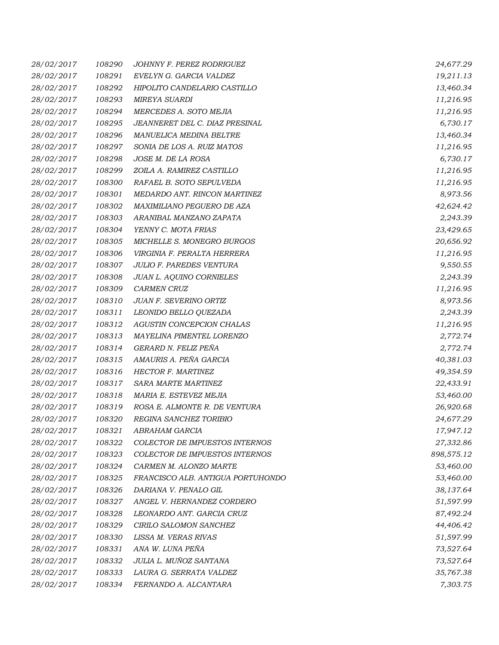| 28/02/2017        | 108290 | JOHNNY F. PEREZ RODRIGUEZ         | 24,677.29  |
|-------------------|--------|-----------------------------------|------------|
| 28/02/2017        | 108291 | EVELYN G. GARCIA VALDEZ           | 19,211.13  |
| 28/02/2017        | 108292 | HIPOLITO CANDELARIO CASTILLO      | 13,460.34  |
| 28/02/2017        | 108293 | <b>MIREYA SUARDI</b>              | 11,216.95  |
| 28/02/2017        | 108294 | MERCEDES A. SOTO MEJIA            | 11,216.95  |
| 28/02/2017        | 108295 | JEANNERET DEL C. DIAZ PRESINAL    | 6,730.17   |
| 28/02/2017        | 108296 | MANUELICA MEDINA BELTRE           | 13,460.34  |
| 28/02/2017        | 108297 | SONIA DE LOS A. RUIZ MATOS        | 11,216.95  |
| 28/02/2017        | 108298 | JOSE M. DE LA ROSA                | 6,730.17   |
| 28/02/2017        | 108299 | ZOILA A. RAMIREZ CASTILLO         | 11,216.95  |
| 28/02/2017        | 108300 | RAFAEL B. SOTO SEPULVEDA          | 11,216.95  |
| 28/02/2017        | 108301 | MEDARDO ANT. RINCON MARTINEZ      | 8,973.56   |
| <i>28/02/2017</i> | 108302 | MAXIMILIANO PEGUERO DE AZA        | 42,624.42  |
| 28/02/2017        | 108303 | ARANIBAL MANZANO ZAPATA           | 2,243.39   |
| 28/02/2017        | 108304 | YENNY C. MOTA FRIAS               | 23,429.65  |
| 28/02/2017        | 108305 | MICHELLE S. MONEGRO BURGOS        | 20,656.92  |
| <i>28/02/2017</i> | 108306 | VIRGINIA F. PERALTA HERRERA       | 11,216.95  |
| 28/02/2017        | 108307 | <b>JULIO F. PAREDES VENTURA</b>   | 9,550.55   |
| 28/02/2017        | 108308 | <b>JUAN L. AQUINO CORNIELES</b>   | 2,243.39   |
| <i>28/02/2017</i> | 108309 | <b>CARMEN CRUZ</b>                | 11,216.95  |
| 28/02/2017        | 108310 | JUAN F. SEVERINO ORTIZ            | 8,973.56   |
| 28/02/2017        | 108311 | LEONIDO BELLO QUEZADA             | 2,243.39   |
| 28/02/2017        | 108312 | AGUSTIN CONCEPCION CHALAS         | 11,216.95  |
| 28/02/2017        | 108313 | MAYELINA PIMENTEL LORENZO         | 2,772.74   |
| 28/02/2017        | 108314 | GERARD N. FELIZ PEÑA              | 2,772.74   |
| 28/02/2017        | 108315 | AMAURIS A. PEÑA GARCIA            | 40,381.03  |
| <i>28/02/2017</i> | 108316 | <b>HECTOR F. MARTINEZ</b>         | 49,354.59  |
| 28/02/2017        | 108317 | SARA MARTE MARTINEZ               | 22,433.91  |
| 28/02/2017        | 108318 | MARIA E. ESTEVEZ MEJIA            | 53,460.00  |
| 28/02/2017        | 108319 | ROSA E. ALMONTE R. DE VENTURA     | 26,920.68  |
| 28/02/2017        | 108320 | REGINA SANCHEZ TORIBIO            | 24,677.29  |
| 28/02/2017        | 108321 | ABRAHAM GARCIA                    | 17,947.12  |
| 28/02/2017        | 108322 | COLECTOR DE IMPUESTOS INTERNOS    | 27,332.86  |
| 28/02/2017        | 108323 | COLECTOR DE IMPUESTOS INTERNOS    | 898,575.12 |
| 28/02/2017        | 108324 | CARMEN M. ALONZO MARTE            | 53,460.00  |
| 28/02/2017        | 108325 | FRANCISCO ALB. ANTIGUA PORTUHONDO | 53,460.00  |
| 28/02/2017        | 108326 | DARIANA V. PENALO GIL             | 38,137.64  |
| 28/02/2017        | 108327 | ANGEL V. HERNANDEZ CORDERO        | 51,597.99  |
| 28/02/2017        | 108328 | LEONARDO ANT. GARCIA CRUZ         | 87,492.24  |
| 28/02/2017        | 108329 | CIRILO SALOMON SANCHEZ            | 44,406.42  |
| 28/02/2017        | 108330 | LISSA M. VERAS RIVAS              | 51,597.99  |
| 28/02/2017        | 108331 | ANA W. LUNA PEÑA                  | 73,527.64  |
| 28/02/2017        | 108332 | JULIA L. MUÑOZ SANTANA            | 73,527.64  |
| 28/02/2017        | 108333 | LAURA G. SERRATA VALDEZ           | 35,767.38  |
| 28/02/2017        | 108334 | FERNANDO A. ALCANTARA             | 7,303.75   |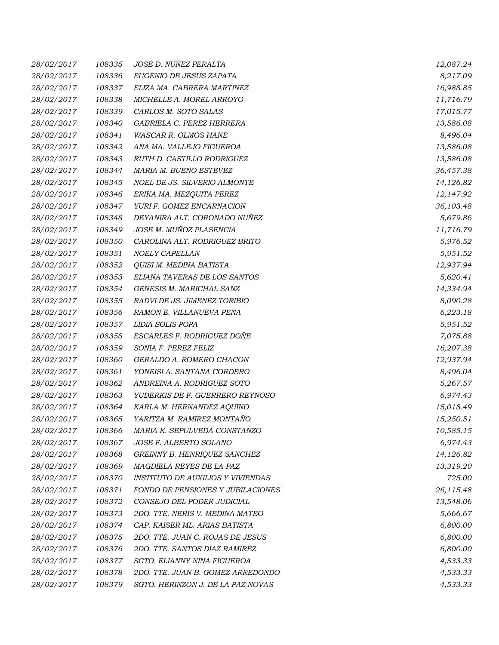| 28/02/2017 | 108335 | JOSE D. NUÑEZ PERALTA                    | 12,087.24 |
|------------|--------|------------------------------------------|-----------|
| 28/02/2017 | 108336 | EUGENIO DE JESUS ZAPATA                  | 8,217.09  |
| 28/02/2017 | 108337 | ELIZA MA. CABRERA MARTINEZ               | 16,988.85 |
| 28/02/2017 | 108338 | MICHELLE A. MOREL ARROYO                 | 11,716.79 |
| 28/02/2017 | 108339 | CARLOS M. SOTO SALAS                     | 17,015.77 |
| 28/02/2017 | 108340 | GABRIELA C. PEREZ HERRERA                | 13,586.08 |
| 28/02/2017 | 108341 | <b>WASCAR R. OLMOS HANE</b>              | 8,496.04  |
| 28/02/2017 | 108342 | ANA MA. VALLEJO FIGUEROA                 | 13,586.08 |
| 28/02/2017 | 108343 | RUTH D. CASTILLO RODRIGUEZ               | 13,586.08 |
| 28/02/2017 | 108344 | MARIA M. BUENO ESTEVEZ                   | 36,457.38 |
| 28/02/2017 | 108345 | NOEL DE JS. SILVERIO ALMONTE             | 14,126.82 |
| 28/02/2017 | 108346 | ERIKA MA. MEZQUITA PEREZ                 | 12,147.92 |
| 28/02/2017 | 108347 | YURI F. GOMEZ ENCARNACION                | 36,103.48 |
| 28/02/2017 | 108348 | DEYANIRA ALT. CORONADO NUÑEZ             | 5,679.86  |
| 28/02/2017 | 108349 | JOSE M. MUÑOZ PLASENCIA                  | 11,716.79 |
| 28/02/2017 | 108350 | CAROLINA ALT. RODRIGUEZ BRITO            | 5,976.52  |
| 28/02/2017 | 108351 | NOELY CAPELLAN                           | 5,951.52  |
| 28/02/2017 | 108352 | QUISI M. MEDINA BATISTA                  | 12,937.94 |
| 28/02/2017 | 108353 | ELIANA TAVERAS DE LOS SANTOS             | 5,620.41  |
| 28/02/2017 | 108354 | GENESIS M. MARICHAL SANZ                 | 14,334.94 |
| 28/02/2017 | 108355 | RADVI DE JS. JIMENEZ TORIBIO             | 8,090.28  |
| 28/02/2017 | 108356 | RAMON E. VILLANUEVA PEÑA                 | 6,223.18  |
| 28/02/2017 | 108357 | LIDIA SOLIS POPA                         | 5,951.52  |
| 28/02/2017 | 108358 | ESCARLES F. RODRIGUEZ DOÑE               | 7,075.88  |
| 28/02/2017 | 108359 | SONIA F. PEREZ FELIZ                     | 16,207.38 |
| 28/02/2017 | 108360 | GERALDO A. ROMERO CHACON                 | 12,937.94 |
| 28/02/2017 | 108361 | YONEISI A. SANTANA CORDERO               | 8,496.04  |
| 28/02/2017 | 108362 | ANDREINA A. RODRIGUEZ SOTO               | 5,267.57  |
| 28/02/2017 | 108363 | YUDERKIS DE F. GUERRERO REYNOSO          | 6,974.43  |
| 28/02/2017 | 108364 | KARLA M. HERNANDEZ AQUINO                | 15,018.49 |
| 28/02/2017 | 108365 | YARITZA M. RAMIREZ MONTAÑO               | 15,250.51 |
| 28/02/2017 | 108366 | MARIA K. SEPULVEDA CONSTANZO             | 10,585.15 |
| 28/02/2017 | 108367 | JOSE F. ALBERTO SOLANO                   | 6,974.43  |
| 28/02/2017 | 108368 | GREINNY B. HENRIQUEZ SANCHEZ             | 14,126.82 |
| 28/02/2017 | 108369 | MAGDIELA REYES DE LA PAZ                 | 13,319.20 |
| 28/02/2017 | 108370 | <b>INSTITUTO DE AUXILIOS Y VIVIENDAS</b> | 725.00    |
| 28/02/2017 | 108371 | FONDO DE PENSIONES Y JUBILACIONES        | 26,115.48 |
| 28/02/2017 | 108372 | CONSEJO DEL PODER JUDICIAL               | 13,548.06 |
| 28/02/2017 | 108373 | 2DO. TTE. NERIS V. MEDINA MATEO          | 5,666.67  |
| 28/02/2017 | 108374 | CAP. KAISER ML. ARIAS BATISTA            | 6,800.00  |
| 28/02/2017 | 108375 | 2DO. TTE. JUAN C. ROJAS DE JESUS         | 6,800.00  |
| 28/02/2017 | 108376 | 2DO. TTE. SANTOS DIAZ RAMIREZ            | 6,800.00  |
| 28/02/2017 | 108377 | SGTO. ELIANNY NINA FIGUEROA              | 4,533.33  |
| 28/02/2017 | 108378 | 2DO. TTE. JUAN B. GOMEZ ARREDONDO        | 4,533.33  |
| 28/02/2017 | 108379 | SGTO. HERINZON J. DE LA PAZ NOVAS        | 4,533.33  |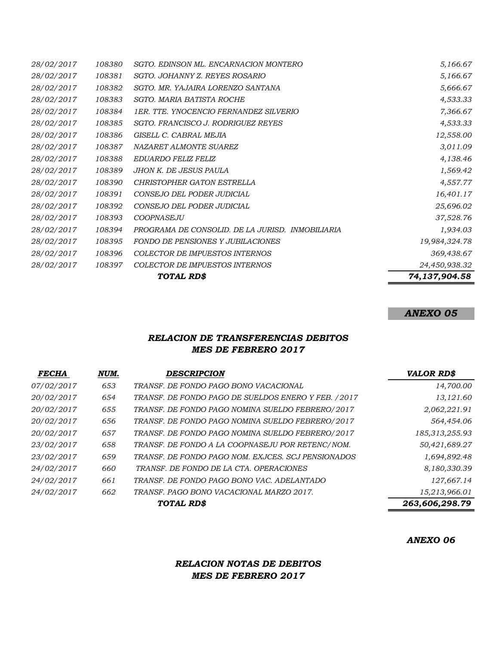|            |        | TOTAL RD\$                                       | 74,137,904.58 |
|------------|--------|--------------------------------------------------|---------------|
| 28/02/2017 | 108397 | <b>COLECTOR DE IMPUESTOS INTERNOS</b>            | 24,450,938.32 |
| 28/02/2017 | 108396 | <b>COLECTOR DE IMPUESTOS INTERNOS</b>            | 369,438.67    |
| 28/02/2017 | 108395 | <b>FONDO DE PENSIONES Y JUBILACIONES</b>         | 19,984,324.78 |
| 28/02/2017 | 108394 | PROGRAMA DE CONSOLID. DE LA JURISD. INMOBILIARIA | 1,934.03      |
| 28/02/2017 | 108393 | <b>COOPNASEJU</b>                                | 37,528.76     |
| 28/02/2017 | 108392 | CONSEJO DEL PODER JUDICIAL                       | 25,696.02     |
| 28/02/2017 | 108391 | CONSEJO DEL PODER JUDICIAL                       | 16,401.17     |
| 28/02/2017 | 108390 | <b>CHRISTOPHER GATON ESTRELLA</b>                | 4,557.77      |
| 28/02/2017 | 108389 | JHON K. DE JESUS PAULA                           | 1,569.42      |
| 28/02/2017 | 108388 | EDUARDO FELIZ FELIZ                              | 4,138.46      |
| 28/02/2017 | 108387 | NAZARET ALMONTE SUAREZ                           | 3,011.09      |
| 28/02/2017 | 108386 | GISELL C. CABRAL MEJIA                           | 12,558.00     |
| 28/02/2017 | 108385 | SGTO. FRANCISCO J. RODRIGUEZ REYES               | 4,533.33      |
| 28/02/2017 | 108384 | 1ER. TTE. YNOCENCIO FERNANDEZ SILVERIO           | 7,366.67      |
| 28/02/2017 | 108383 | SGTO. MARIA BATISTA ROCHE                        | 4,533.33      |
| 28/02/2017 | 108382 | SGTO. MR. YAJAIRA LORENZO SANTANA                | 5,666.67      |
| 28/02/2017 | 108381 | SGTO. JOHANNY Z. REYES ROSARIO                   | 5,166.67      |
| 28/02/2017 | 108380 | SGTO. EDINSON ML. ENCARNACION MONTERO            | 5,166.67      |

# *ANEXO 05*

## *RELACION DE TRANSFERENCIAS DEBITOS MES DE FEBRERO 2017*

| <b>FECHA</b>      | NUM. | DESCRIPCION                                          | <b>VALOR RD\$</b> |
|-------------------|------|------------------------------------------------------|-------------------|
| <i>07/02/2017</i> | 653  | TRANSF. DE FONDO PAGO BONO VACACIONAL                | 14,700.00         |
| 20/02/2017        | 654  | TRANSF. DE FONDO PAGO DE SUELDOS ENERO Y FEB. / 2017 | 13,121.60         |
| <i>20/02/2017</i> | 655  | TRANSF. DE FONDO PAGO NOMINA SUELDO FEBRERO/2017     | 2,062,221.91      |
| <i>20/02/2017</i> | 656  | TRANSF. DE FONDO PAGO NOMINA SUELDO FEBRERO/2017     | 564,454.06        |
| 20/02/2017        | 657  | TRANSF. DE FONDO PAGO NOMINA SUELDO FEBRERO/2017     | 185,313,255.93    |
| <i>23/02/2017</i> | 658  | TRANSF. DE FONDO A LA COOPNASEJU POR RETENC/NOM.     | 50,421,689.27     |
| <i>23/02/2017</i> | 659  | TRANSF. DE FONDO PAGO NOM. EXJCES. SCJ PENSIONADOS   | 1,694,892.48      |
| <i>24/02/2017</i> | 660  | TRANSF. DE FONDO DE LA CTA. OPERACIONES              | 8,180,330.39      |
| <i>24/02/2017</i> | 661  | TRANSF. DE FONDO PAGO BONO VAC. ADELANTADO           | 127,667.14        |
| <i>24/02/2017</i> | 662  | TRANSF. PAGO BONO VACACIONAL MARZO 2017.             | 15,213,966.01     |
|                   |      | TOTAL RD\$                                           | 263,606,298.79    |

*ANEXO 06*

## *RELACION NOTAS DE DEBITOS MES DE FEBRERO 2017*